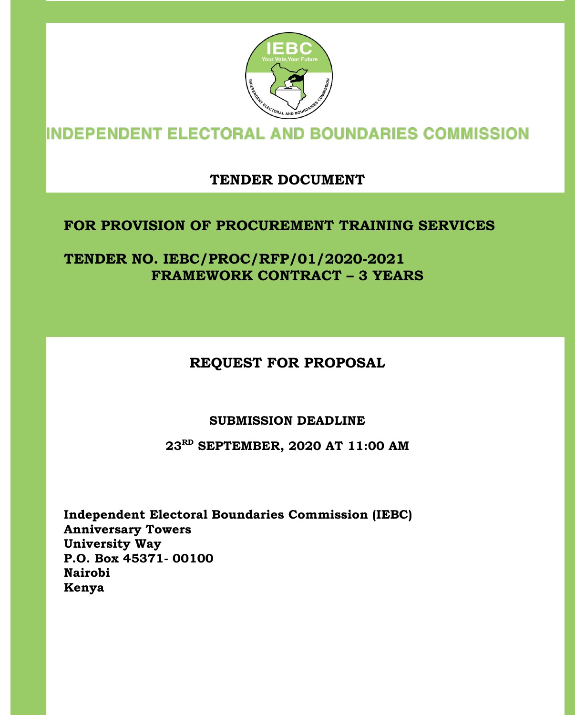

# **INDEPENDENT ELECTORAL AND BOUNDARIES COMMISSION**

# **TENDER DOCUMENT**

# **FOR PROVISION OF PROCUREMENT TRAINING SERVICES**

**TENDER NO. IEBC/PROC/RFP/01/2020-2021 FRAMEWORK CONTRACT – 3 YEARS**

# **REQUEST FOR PROPOSAL**

## **SUBMISSION DEADLINE**

**23RD SEPTEMBER, 2020 AT 11:00 AM**

**Independent Electoral Boundaries Commission (IEBC) Anniversary Towers University Way P.O. Box 45371- 00100 Nairobi Kenya**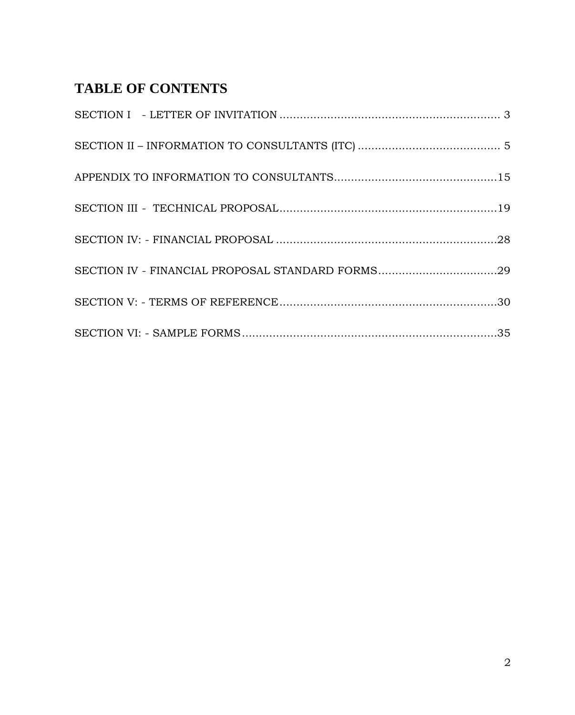# **TABLE OF CONTENTS**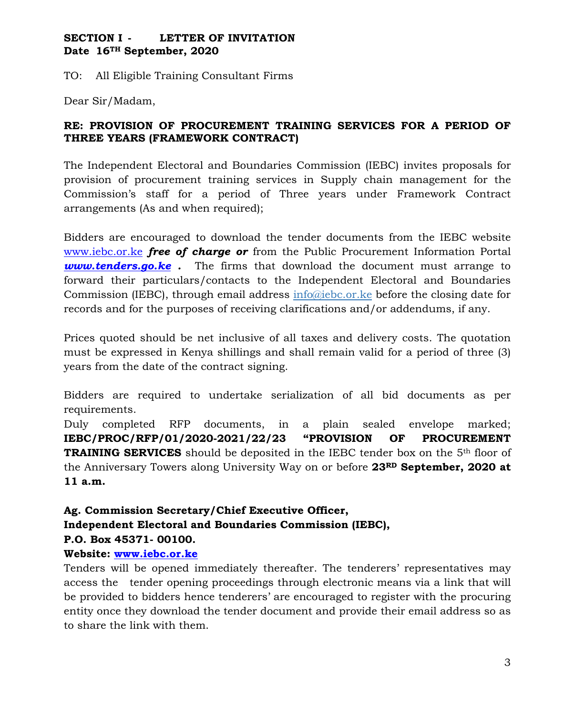### <span id="page-2-0"></span>**SECTION I - LETTER OF INVITATION Date 16TH September, 2020**

TO: All Eligible Training Consultant Firms

Dear Sir/Madam,

## **RE: PROVISION OF PROCUREMENT TRAINING SERVICES FOR A PERIOD OF THREE YEARS (FRAMEWORK CONTRACT)**

The Independent Electoral and Boundaries Commission (IEBC) invites proposals for provision of procurement training services in Supply chain management for the Commission's staff for a period of Three years under Framework Contract arrangements (As and when required);

Bidders are encouraged to download the tender documents from the IEBC website [www.iebc.or.ke](http://www.iebc.or.ke/) *free of charge or* from the Public Procurement Information Portal *[www.tenders.go.ke](http://www.tenders.go.ke/)* . The firms that download the document must arrange to forward their particulars/contacts to the Independent Electoral and Boundaries Commission (IEBC), through email address info@iebc.or.ke before the closing date for records and for the purposes of receiving clarifications and/or addendums, if any.

Prices quoted should be net inclusive of all taxes and delivery costs. The quotation must be expressed in Kenya shillings and shall remain valid for a period of three (3) years from the date of the contract signing.

Bidders are required to undertake serialization of all bid documents as per requirements.

Duly completed RFP documents, in a plain sealed envelope marked; **IEBC/PROC/RFP/01/2020-2021/22/23 "PROVISION OF PROCUREMENT TRAINING SERVICES** should be deposited in the IEBC tender box on the 5th floor of the Anniversary Towers along University Way on or before **23RD September, 2020 at 11 a.m.**

## **Ag. Commission Secretary/Chief Executive Officer, Independent Electoral and Boundaries Commission (IEBC), P.O. Box 45371- 00100.**

## **Website: www.iebc.or.ke**

Tenders will be opened immediately thereafter. The tenderers' representatives may access the tender opening proceedings through electronic means via a link that will be provided to bidders hence tenderers' are encouraged to register with the procuring entity once they download the tender document and provide their email address so as to share the link with them.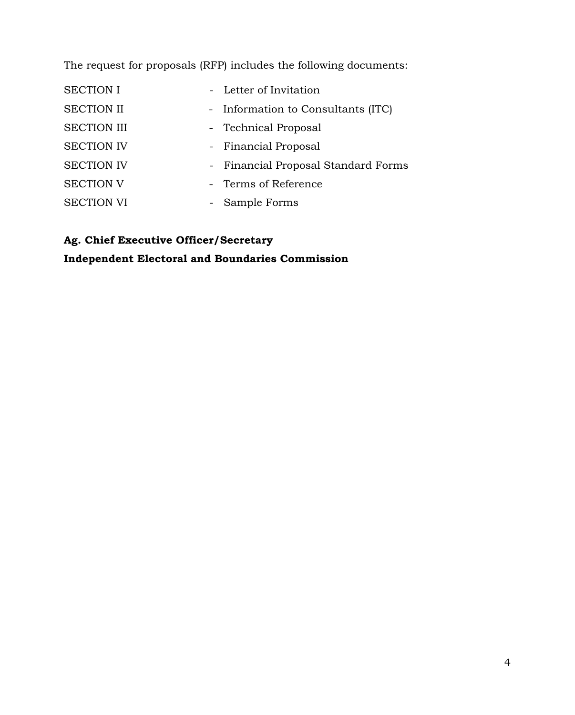| <b>SECTION I</b>   | - Letter of Invitation              |
|--------------------|-------------------------------------|
| <b>SECTION II</b>  | - Information to Consultants (ITC)  |
| <b>SECTION III</b> | - Technical Proposal                |
| <b>SECTION IV</b>  | - Financial Proposal                |
| <b>SECTION IV</b>  | - Financial Proposal Standard Forms |
| <b>SECTION V</b>   | - Terms of Reference                |
| <b>SECTION VI</b>  | - Sample Forms                      |

The request for proposals (RFP) includes the following documents:

## **Ag. Chief Executive Officer/Secretary**

**Independent Electoral and Boundaries Commission**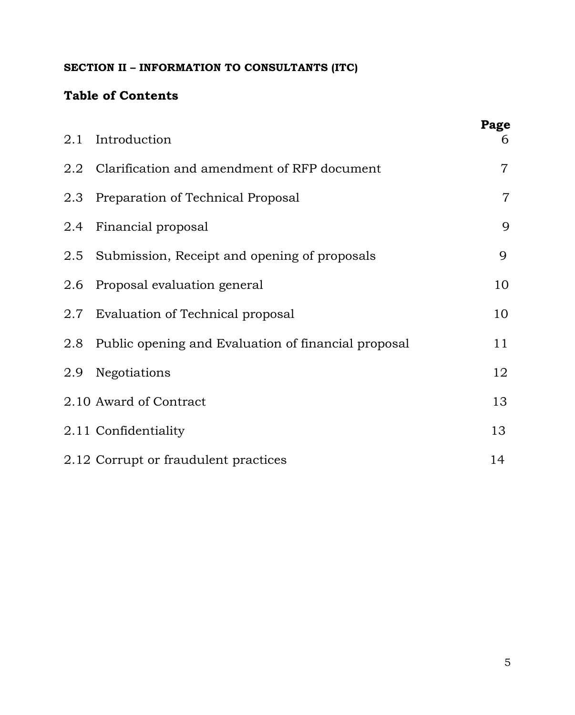## <span id="page-4-0"></span>**SECTION II – INFORMATION TO CONSULTANTS (ITC)**

## **Table of Contents**

|     | 2.1 Introduction                                        | Page<br>6      |
|-----|---------------------------------------------------------|----------------|
|     | 2.2 Clarification and amendment of RFP document         | $\overline{7}$ |
|     | 2.3 Preparation of Technical Proposal                   | $\overline{7}$ |
|     | 2.4 Financial proposal                                  | 9              |
|     | 2.5 Submission, Receipt and opening of proposals        | 9              |
|     | 2.6 Proposal evaluation general                         | 10             |
|     | 2.7 Evaluation of Technical proposal                    | 10             |
|     | 2.8 Public opening and Evaluation of financial proposal | 11             |
| 2.9 | Negotiations                                            | 12             |
|     | 2.10 Award of Contract                                  | 13             |
|     | 2.11 Confidentiality                                    | 13             |
|     | 2.12 Corrupt or fraudulent practices                    | 14             |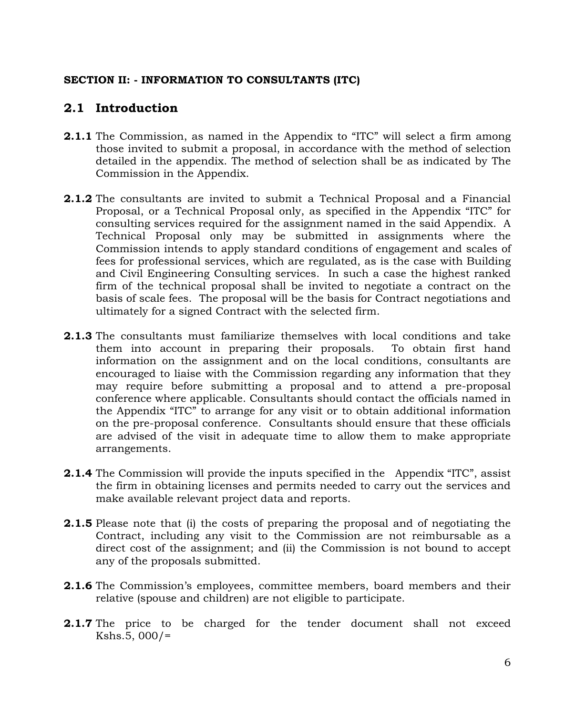#### **SECTION II: - INFORMATION TO CONSULTANTS (ITC)**

## **2.1 Introduction**

- **2.1.1** The Commission, as named in the Appendix to "ITC" will select a firm among those invited to submit a proposal, in accordance with the method of selection detailed in the appendix. The method of selection shall be as indicated by The Commission in the Appendix.
- **2.1.2** The consultants are invited to submit a Technical Proposal and a Financial Proposal, or a Technical Proposal only, as specified in the Appendix "ITC" for consulting services required for the assignment named in the said Appendix. A Technical Proposal only may be submitted in assignments where the Commission intends to apply standard conditions of engagement and scales of fees for professional services, which are regulated, as is the case with Building and Civil Engineering Consulting services. In such a case the highest ranked firm of the technical proposal shall be invited to negotiate a contract on the basis of scale fees. The proposal will be the basis for Contract negotiations and ultimately for a signed Contract with the selected firm.
- **2.1.3** The consultants must familiarize themselves with local conditions and take them into account in preparing their proposals. To obtain first hand information on the assignment and on the local conditions, consultants are encouraged to liaise with the Commission regarding any information that they may require before submitting a proposal and to attend a pre-proposal conference where applicable. Consultants should contact the officials named in the Appendix "ITC" to arrange for any visit or to obtain additional information on the pre-proposal conference. Consultants should ensure that these officials are advised of the visit in adequate time to allow them to make appropriate arrangements.
- **2.1.4** The Commission will provide the inputs specified in the Appendix "ITC", assist the firm in obtaining licenses and permits needed to carry out the services and make available relevant project data and reports.
- **2.1.5** Please note that (i) the costs of preparing the proposal and of negotiating the Contract, including any visit to the Commission are not reimbursable as a direct cost of the assignment; and (ii) the Commission is not bound to accept any of the proposals submitted.
- **2.1.6** The Commission's employees, committee members, board members and their relative (spouse and children) are not eligible to participate.
- **2.1.7** The price to be charged for the tender document shall not exceed  $Kshs.5, 000/=$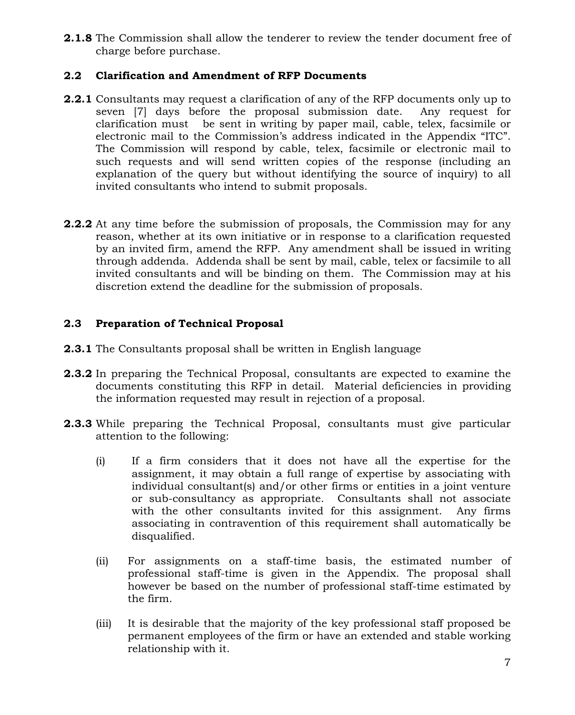**2.1.8** The Commission shall allow the tenderer to review the tender document free of charge before purchase.

## **2.2 Clarification and Amendment of RFP Documents**

- **2.2.1** Consultants may request a clarification of any of the RFP documents only up to seven [7] days before the proposal submission date. Any request for clarification mustbe sent in writing by paper mail, cable, telex, facsimile or electronic mail to the Commission's address indicated in the Appendix "ITC". The Commission will respond by cable, telex, facsimile or electronic mail to such requests and will send written copies of the response (including an explanation of the query but without identifying the source of inquiry) to all invited consultants who intend to submit proposals.
- **2.2.2** At any time before the submission of proposals, the Commission may for any reason, whether at its own initiative or in response to a clarification requested by an invited firm, amend the RFP. Any amendment shall be issued in writing through addenda. Addenda shall be sent by mail, cable, telex or facsimile to all invited consultants and will be binding on them. The Commission may at his discretion extend the deadline for the submission of proposals.

## **2.3 Preparation of Technical Proposal**

- **2.3.1** The Consultants proposal shall be written in English language
- **2.3.2** In preparing the Technical Proposal, consultants are expected to examine the documents constituting this RFP in detail. Material deficiencies in providing the information requested may result in rejection of a proposal.
- **2.3.3** While preparing the Technical Proposal, consultants must give particular attention to the following:
	- (i) If a firm considers that it does not have all the expertise for the assignment, it may obtain a full range of expertise by associating with individual consultant(s) and/or other firms or entities in a joint venture or sub-consultancy as appropriate. Consultants shall not associate with the other consultants invited for this assignment. Any firms associating in contravention of this requirement shall automatically be disqualified.
	- (ii) For assignments on a staff-time basis, the estimated number of professional staff-time is given in the Appendix. The proposal shall however be based on the number of professional staff-time estimated by the firm.
	- (iii) It is desirable that the majority of the key professional staff proposed be permanent employees of the firm or have an extended and stable working relationship with it.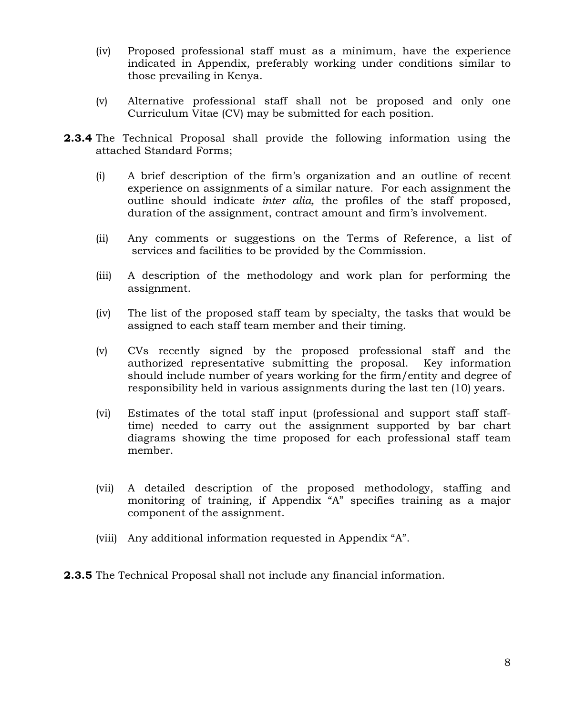- (iv) Proposed professional staff must as a minimum, have the experience indicated in Appendix, preferably working under conditions similar to those prevailing in Kenya.
- (v) Alternative professional staff shall not be proposed and only one Curriculum Vitae (CV) may be submitted for each position.
- **2.3.4** The Technical Proposal shall provide the following information using the attached Standard Forms;
	- (i) A brief description of the firm's organization and an outline of recent experience on assignments of a similar nature. For each assignment the outline should indicate *inter alia,* the profiles of the staff proposed, duration of the assignment, contract amount and firm's involvement.
	- (ii) Any comments or suggestions on the Terms of Reference, a list of services and facilities to be provided by the Commission.
	- (iii) A description of the methodology and work plan for performing the assignment.
	- (iv) The list of the proposed staff team by specialty, the tasks that would be assigned to each staff team member and their timing.
	- (v) CVs recently signed by the proposed professional staff and the authorized representative submitting the proposal. Key information should include number of years working for the firm/entity and degree of responsibility held in various assignments during the last ten (10) years.
	- (vi) Estimates of the total staff input (professional and support staff stafftime) needed to carry out the assignment supported by bar chart diagrams showing the time proposed for each professional staff team member.
	- (vii) A detailed description of the proposed methodology, staffing and monitoring of training, if Appendix "A" specifies training as a major component of the assignment.
	- (viii) Any additional information requested in Appendix "A".
- **2.3.5** The Technical Proposal shall not include any financial information.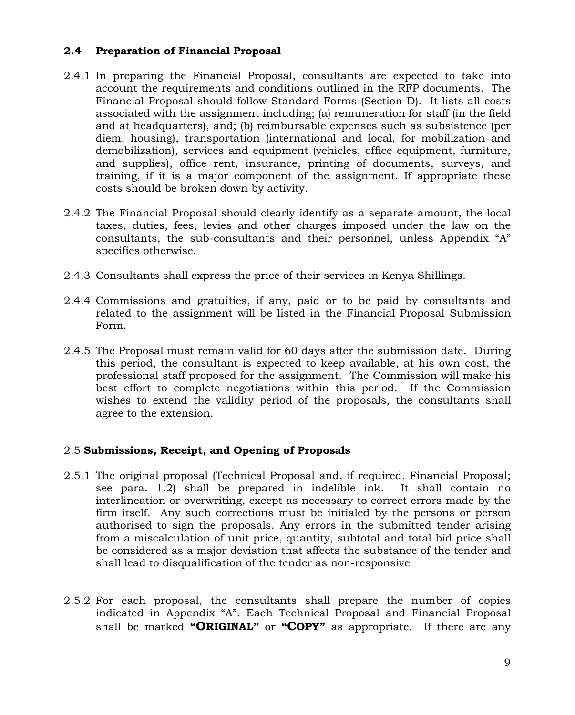## **2.4 Preparation of Financial Proposal**

- 2.4.1 In preparing the Financial Proposal, consultants are expected to take into account the requirements and conditions outlined in the RFP documents. The Financial Proposal should follow Standard Forms (Section D). It lists all costs associated with the assignment including; (a) remuneration for staff (in the field and at headquarters), and; (b) reimbursable expenses such as subsistence (per diem, housing), transportation (international and local, for mobilization and demobilization), services and equipment (vehicles, office equipment, furniture, and supplies), office rent, insurance, printing of documents, surveys, and training, if it is a major component of the assignment. If appropriate these costs should be broken down by activity.
- 2.4.2 The Financial Proposal should clearly identify as a separate amount, the local taxes, duties, fees, levies and other charges imposed under the law on the consultants, the sub-consultants and their personnel, unless Appendix "A" specifies otherwise.
- 2.4.3 Consultants shall express the price of their services in Kenya Shillings.
- 2.4.4 Commissions and gratuities, if any, paid or to be paid by consultants and related to the assignment will be listed in the Financial Proposal Submission Form.
- 2.4.5 The Proposal must remain valid for 60 days after the submission date. During this period, the consultant is expected to keep available, at his own cost, the professional staff proposed for the assignment. The Commission will make his best effort to complete negotiations within this period. If the Commission wishes to extend the validity period of the proposals, the consultants shall agree to the extension.

## 2.5 **Submissions, Receipt, and Opening of Proposals**

- 2.5.1 The original proposal (Technical Proposal and, if required, Financial Proposal; see para. 1.2) shall be prepared in indelible ink. It shall contain no interlineation or overwriting, except as necessary to correct errors made by the firm itself. Any such corrections must be initialed by the persons or person authorised to sign the proposals. Any errors in the submitted tender arising from a miscalculation of unit price, quantity, subtotal and total bid price shall be considered as a major deviation that affects the substance of the tender and shall lead to disqualification of the tender as non-responsive
- 2.5.2 For each proposal, the consultants shall prepare the number of copies indicated in Appendix "A". Each Technical Proposal and Financial Proposal shall be marked **"ORIGINAL"** or **"COPY"** as appropriate. If there are any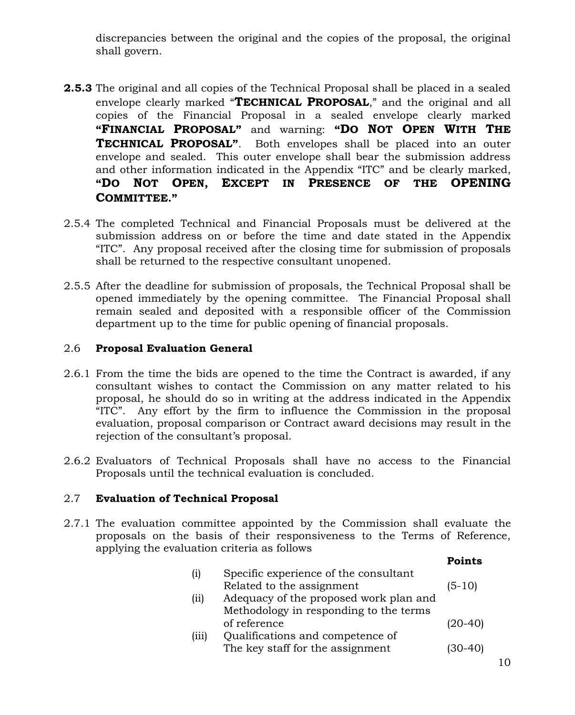discrepancies between the original and the copies of the proposal, the original shall govern.

- **2.5.3** The original and all copies of the Technical Proposal shall be placed in a sealed envelope clearly marked "**TECHNICAL PROPOSAL**," and the original and all copies of the Financial Proposal in a sealed envelope clearly marked **"FINANCIAL PROPOSAL"** and warning: **"DO NOT OPEN WITH THE TECHNICAL PROPOSAL"**. Both envelopes shall be placed into an outer envelope and sealed. This outer envelope shall bear the submission address and other information indicated in the Appendix "ITC" and be clearly marked, **"DO NOT OPEN, EXCEPT IN PRESENCE OF THE OPENING COMMITTEE."**
- 2.5.4 The completed Technical and Financial Proposals must be delivered at the submission address on or before the time and date stated in the Appendix "ITC". Any proposal received after the closing time for submission of proposals shall be returned to the respective consultant unopened.
- 2.5.5 After the deadline for submission of proposals, the Technical Proposal shall be opened immediately by the opening committee. The Financial Proposal shall remain sealed and deposited with a responsible officer of the Commission department up to the time for public opening of financial proposals.

### 2.6 **Proposal Evaluation General**

- 2.6.1 From the time the bids are opened to the time the Contract is awarded, if any consultant wishes to contact the Commission on any matter related to his proposal, he should do so in writing at the address indicated in the Appendix "ITC". Any effort by the firm to influence the Commission in the proposal evaluation, proposal comparison or Contract award decisions may result in the rejection of the consultant's proposal.
- 2.6.2 Evaluators of Technical Proposals shall have no access to the Financial Proposals until the technical evaluation is concluded.

### 2.7 **Evaluation of Technical Proposal**

2.7.1 The evaluation committee appointed by the Commission shall evaluate the proposals on the basis of their responsiveness to the Terms of Reference, applying the evaluation criteria as follows

#### **Points**

| (i)   | Specific experience of the consultant  |           |
|-------|----------------------------------------|-----------|
|       | Related to the assignment              | $(5-10)$  |
| (ii)  | Adequacy of the proposed work plan and |           |
|       | Methodology in responding to the terms |           |
|       | of reference                           | $(20-40)$ |
| (iii) | Qualifications and competence of       |           |
|       | The key staff for the assignment       | (30-40)   |
|       |                                        |           |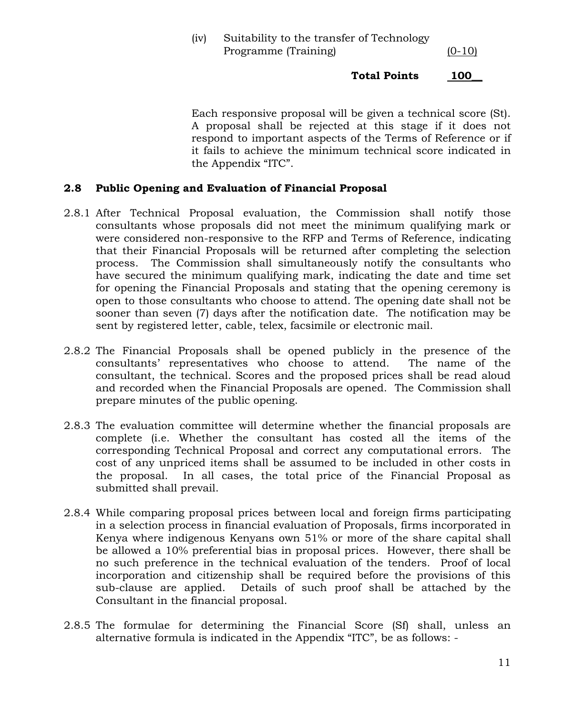(iv) Suitability to the transfer of Technology Programme (Training) (0-10)

#### **Total Points 100**\_\_

Each responsive proposal will be given a technical score (St). A proposal shall be rejected at this stage if it does not respond to important aspects of the Terms of Reference or if it fails to achieve the minimum technical score indicated in the Appendix "ITC".

#### **2.8 Public Opening and Evaluation of Financial Proposal**

- 2.8.1 After Technical Proposal evaluation, the Commission shall notify those consultants whose proposals did not meet the minimum qualifying mark or were considered non-responsive to the RFP and Terms of Reference, indicating that their Financial Proposals will be returned after completing the selection process. The Commission shall simultaneously notify the consultants who have secured the minimum qualifying mark, indicating the date and time set for opening the Financial Proposals and stating that the opening ceremony is open to those consultants who choose to attend. The opening date shall not be sooner than seven (7) days after the notification date. The notification may be sent by registered letter, cable, telex, facsimile or electronic mail.
- 2.8.2 The Financial Proposals shall be opened publicly in the presence of the consultants' representatives who choose to attend. The name of the consultant, the technical. Scores and the proposed prices shall be read aloud and recorded when the Financial Proposals are opened. The Commission shall prepare minutes of the public opening.
- 2.8.3 The evaluation committee will determine whether the financial proposals are complete (i.e. Whether the consultant has costed all the items of the corresponding Technical Proposal and correct any computational errors. The cost of any unpriced items shall be assumed to be included in other costs in the proposal. In all cases, the total price of the Financial Proposal as submitted shall prevail.
- 2.8.4 While comparing proposal prices between local and foreign firms participating in a selection process in financial evaluation of Proposals, firms incorporated in Kenya where indigenous Kenyans own 51% or more of the share capital shall be allowed a 10% preferential bias in proposal prices. However, there shall be no such preference in the technical evaluation of the tenders. Proof of local incorporation and citizenship shall be required before the provisions of this sub-clause are applied. Details of such proof shall be attached by the Consultant in the financial proposal.
- 2.8.5 The formulae for determining the Financial Score (Sf) shall, unless an alternative formula is indicated in the Appendix "ITC", be as follows: -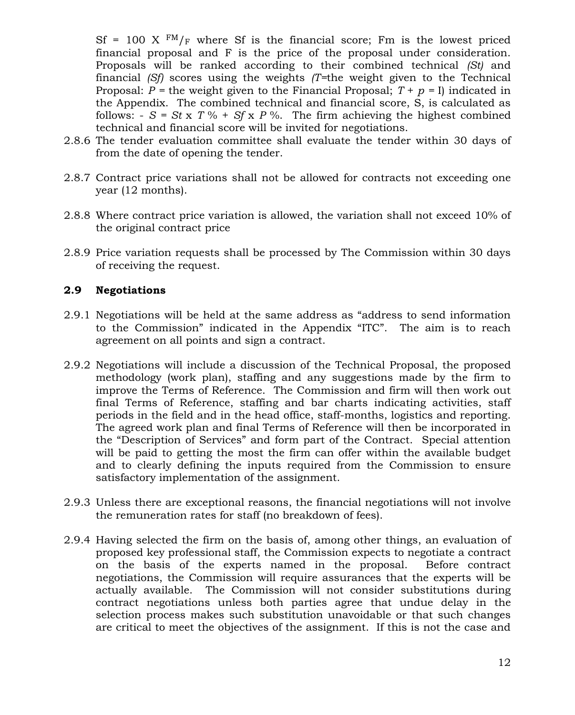Sf = 100 X  $FM/F$  where Sf is the financial score; Fm is the lowest priced financial proposal and F is the price of the proposal under consideration. Proposals will be ranked according to their combined technical *(St)* and financial *(Sf)* scores using the weights *(T=*the weight given to the Technical Proposal:  $P =$  the weight given to the Financial Proposal;  $T + p = I$ ) indicated in the Appendix. The combined technical and financial score, S, is calculated as follows:  $-S = St x T \% + S f x P \%$ . The firm achieving the highest combined technical and financial score will be invited for negotiations.

- 2.8.6 The tender evaluation committee shall evaluate the tender within 30 days of from the date of opening the tender.
- 2.8.7 Contract price variations shall not be allowed for contracts not exceeding one year (12 months).
- 2.8.8 Where contract price variation is allowed, the variation shall not exceed 10% of the original contract price
- 2.8.9 Price variation requests shall be processed by The Commission within 30 days of receiving the request.

## **2.9 Negotiations**

- 2.9.1 Negotiations will be held at the same address as "address to send information to the Commission" indicated in the Appendix "ITC". The aim is to reach agreement on all points and sign a contract.
- 2.9.2 Negotiations will include a discussion of the Technical Proposal, the proposed methodology (work plan), staffing and any suggestions made by the firm to improve the Terms of Reference. The Commission and firm will then work out final Terms of Reference, staffing and bar charts indicating activities, staff periods in the field and in the head office, staff-months, logistics and reporting. The agreed work plan and final Terms of Reference will then be incorporated in the "Description of Services" and form part of the Contract. Special attention will be paid to getting the most the firm can offer within the available budget and to clearly defining the inputs required from the Commission to ensure satisfactory implementation of the assignment.
- 2.9.3 Unless there are exceptional reasons, the financial negotiations will not involve the remuneration rates for staff (no breakdown of fees).
- 2.9.4 Having selected the firm on the basis of, among other things, an evaluation of proposed key professional staff, the Commission expects to negotiate a contract on the basis of the experts named in the proposal. Before contract negotiations, the Commission will require assurances that the experts will be actually available. The Commission will not consider substitutions during contract negotiations unless both parties agree that undue delay in the selection process makes such substitution unavoidable or that such changes are critical to meet the objectives of the assignment. If this is not the case and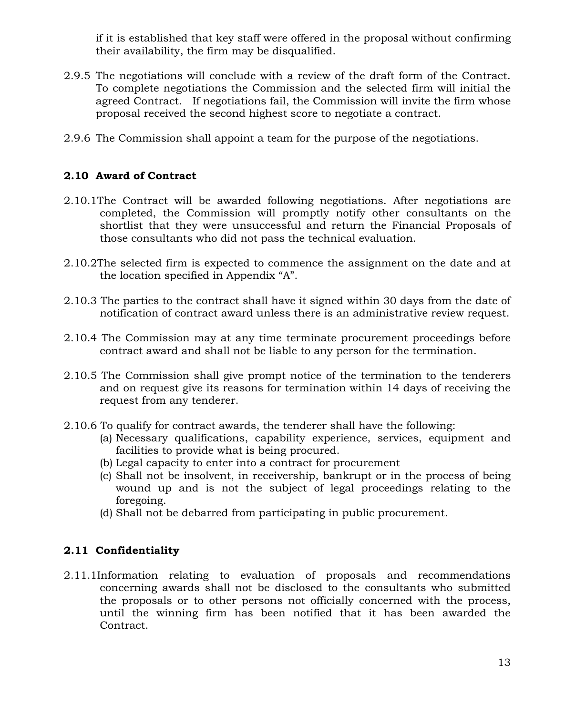if it is established that key staff were offered in the proposal without confirming their availability, the firm may be disqualified.

- 2.9.5 The negotiations will conclude with a review of the draft form of the Contract. To complete negotiations the Commission and the selected firm will initial the agreed Contract. If negotiations fail, the Commission will invite the firm whose proposal received the second highest score to negotiate a contract.
- 2.9.6 The Commission shall appoint a team for the purpose of the negotiations.

## **2.10 Award of Contract**

- 2.10.1The Contract will be awarded following negotiations. After negotiations are completed, the Commission will promptly notify other consultants on the shortlist that they were unsuccessful and return the Financial Proposals of those consultants who did not pass the technical evaluation.
- 2.10.2The selected firm is expected to commence the assignment on the date and at the location specified in Appendix "A".
- 2.10.3 The parties to the contract shall have it signed within 30 days from the date of notification of contract award unless there is an administrative review request.
- 2.10.4 The Commission may at any time terminate procurement proceedings before contract award and shall not be liable to any person for the termination.
- 2.10.5 The Commission shall give prompt notice of the termination to the tenderers and on request give its reasons for termination within 14 days of receiving the request from any tenderer.
- 2.10.6 To qualify for contract awards, the tenderer shall have the following:
	- (a) Necessary qualifications, capability experience, services, equipment and facilities to provide what is being procured.
	- (b) Legal capacity to enter into a contract for procurement
	- (c) Shall not be insolvent, in receivership, bankrupt or in the process of being wound up and is not the subject of legal proceedings relating to the foregoing.
	- (d) Shall not be debarred from participating in public procurement.

## **2.11 Confidentiality**

2.11.1Information relating to evaluation of proposals and recommendations concerning awards shall not be disclosed to the consultants who submitted the proposals or to other persons not officially concerned with the process, until the winning firm has been notified that it has been awarded the Contract.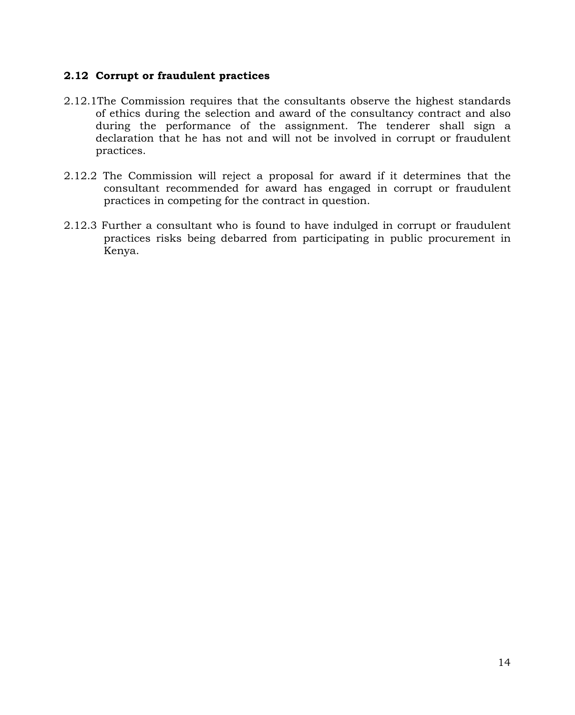### **2.12 Corrupt or fraudulent practices**

- 2.12.1The Commission requires that the consultants observe the highest standards of ethics during the selection and award of the consultancy contract and also during the performance of the assignment. The tenderer shall sign a declaration that he has not and will not be involved in corrupt or fraudulent practices.
- 2.12.2 The Commission will reject a proposal for award if it determines that the consultant recommended for award has engaged in corrupt or fraudulent practices in competing for the contract in question.
- 2.12.3 Further a consultant who is found to have indulged in corrupt or fraudulent practices risks being debarred from participating in public procurement in Kenya.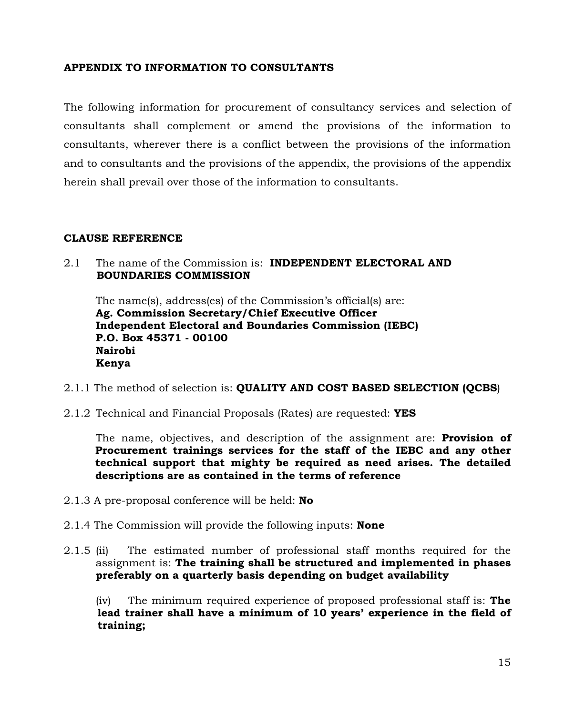#### <span id="page-14-0"></span>**APPENDIX TO INFORMATION TO CONSULTANTS**

The following information for procurement of consultancy services and selection of consultants shall complement or amend the provisions of the information to consultants, wherever there is a conflict between the provisions of the information and to consultants and the provisions of the appendix, the provisions of the appendix herein shall prevail over those of the information to consultants.

#### **CLAUSE REFERENCE**

2.1 The name of the Commission is: **INDEPENDENT ELECTORAL AND BOUNDARIES COMMISSION** 

The name(s), address(es) of the Commission's official(s) are: **Ag. Commission Secretary/Chief Executive Officer Independent Electoral and Boundaries Commission (IEBC) P.O. Box 45371 - 00100 Nairobi Kenya** 

- 2.1.1 The method of selection is: **QUALITY AND COST BASED SELECTION (QCBS**)
- 2.1.2 Technical and Financial Proposals (Rates) are requested: **YES**

The name, objectives, and description of the assignment are: **Provision of Procurement trainings services for the staff of the IEBC and any other technical support that mighty be required as need arises. The detailed descriptions are as contained in the terms of reference**

- 2.1.3 A pre-proposal conference will be held: **No**
- 2.1.4 The Commission will provide the following inputs: **None**
- 2.1.5 (ii) The estimated number of professional staff months required for the assignment is: **The training shall be structured and implemented in phases preferably on a quarterly basis depending on budget availability**

(iv) The minimum required experience of proposed professional staff is: **The lead trainer shall have a minimum of 10 years' experience in the field of training;**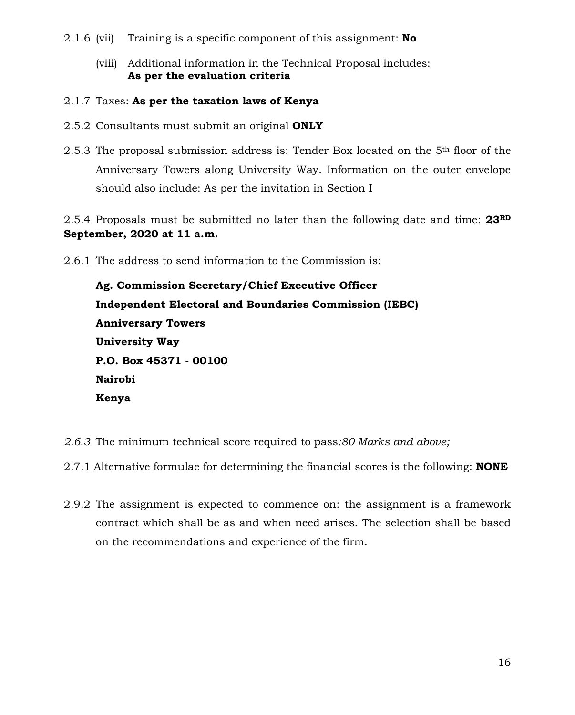- 2.1.6 (vii) Training is a specific component of this assignment: **No**
	- (viii) Additional information in the Technical Proposal includes: **As per the evaluation criteria**
- 2.1.7 Taxes: **As per the taxation laws of Kenya**
- 2.5.2 Consultants must submit an original **ONLY**
- 2.5.3 The proposal submission address is: Tender Box located on the 5th floor of the Anniversary Towers along University Way. Information on the outer envelope should also include: As per the invitation in Section I

2.5.4 Proposals must be submitted no later than the following date and time: **23RD September, 2020 at 11 a.m.**

2.6.1 The address to send information to the Commission is:

**Ag. Commission Secretary/Chief Executive Officer Independent Electoral and Boundaries Commission (IEBC) Anniversary Towers University Way P.O. Box 45371 - 00100 Nairobi Kenya** 

- *2.6.3* The minimum technical score required to pass*:80 Marks and above;*
- 2.7.1 Alternative formulae for determining the financial scores is the following: **NONE**
- 2.9.2 The assignment is expected to commence on: the assignment is a framework contract which shall be as and when need arises. The selection shall be based on the recommendations and experience of the firm.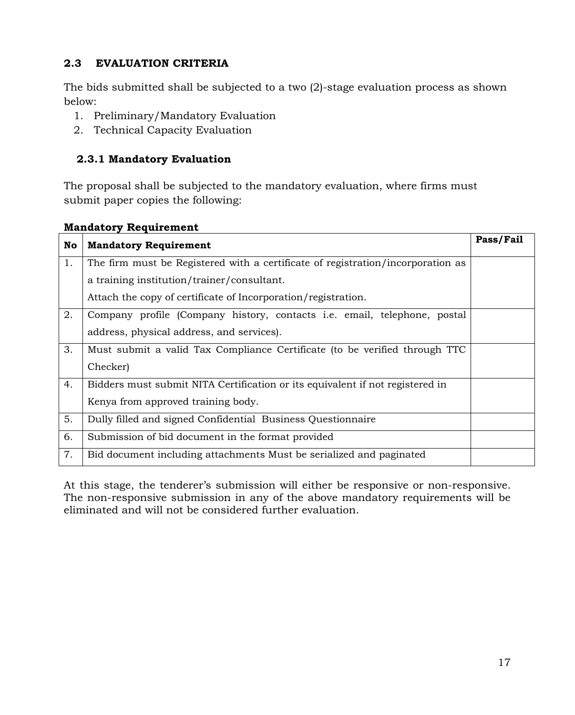## **2.3 EVALUATION CRITERIA**

The bids submitted shall be subjected to a two (2)-stage evaluation process as shown below:

- 1. Preliminary/Mandatory Evaluation
- 2. Technical Capacity Evaluation

## **2.3.1 Mandatory Evaluation**

The proposal shall be subjected to the mandatory evaluation, where firms must submit paper copies the following:

## **Mandatory Requirement**

| No | <b>Mandatory Requirement</b>                                                    | Pass/Fail |
|----|---------------------------------------------------------------------------------|-----------|
| 1. | The firm must be Registered with a certificate of registration/incorporation as |           |
|    | a training institution/trainer/consultant.                                      |           |
|    | Attach the copy of certificate of Incorporation/registration.                   |           |
| 2. | Company profile (Company history, contacts <i>i.e.</i> email, telephone, postal |           |
|    | address, physical address, and services).                                       |           |
| 3. | Must submit a valid Tax Compliance Certificate (to be verified through TTC      |           |
|    | Checker)                                                                        |           |
| 4. | Bidders must submit NITA Certification or its equivalent if not registered in   |           |
|    | Kenya from approved training body.                                              |           |
| 5. | Dully filled and signed Confidential Business Questionnaire                     |           |
| 6. | Submission of bid document in the format provided                               |           |
| 7. | Bid document including attachments Must be serialized and paginated             |           |

At this stage, the tenderer's submission will either be responsive or non-responsive. The non-responsive submission in any of the above mandatory requirements will be eliminated and will not be considered further evaluation.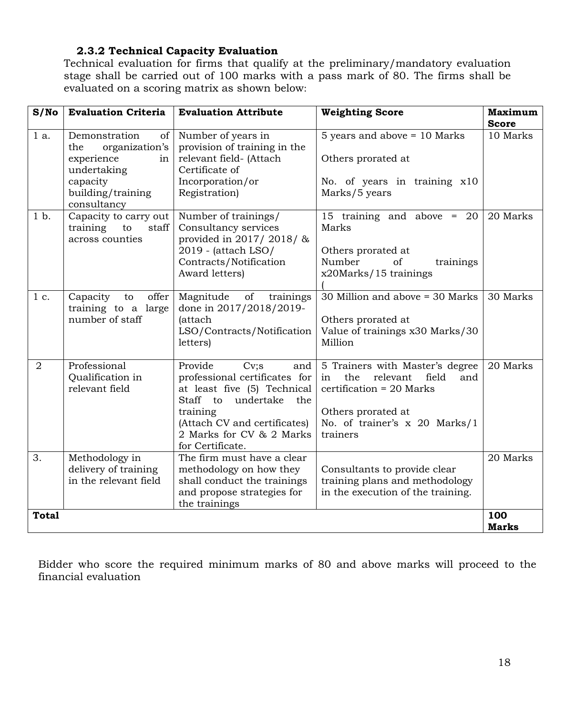## **2.3.2 Technical Capacity Evaluation**

Technical evaluation for firms that qualify at the preliminary/mandatory evaluation stage shall be carried out of 100 marks with a pass mark of 80. The firms shall be evaluated on a scoring matrix as shown below:

| S/No           | <b>Evaluation Criteria</b>                                                                                                      | <b>Evaluation Attribute</b>                                                                                                                                                                                              | <b>Weighting Score</b>                                                                                                                                                  | <b>Maximum</b><br><b>Score</b> |
|----------------|---------------------------------------------------------------------------------------------------------------------------------|--------------------------------------------------------------------------------------------------------------------------------------------------------------------------------------------------------------------------|-------------------------------------------------------------------------------------------------------------------------------------------------------------------------|--------------------------------|
| 1 a.           | Demonstration<br>of<br>organization's<br>the<br>experience<br>in<br>undertaking<br>capacity<br>building/training<br>consultancy | Number of years in<br>provision of training in the<br>relevant field- (Attach<br>Certificate of<br>Incorporation/or<br>Registration)                                                                                     | 5 years and above $= 10$ Marks<br>Others prorated at<br>No. of years in training x10<br>Marks/5 years                                                                   | 10 Marks                       |
| 1 b.           | Capacity to carry out<br>training<br>to<br>staff<br>across counties                                                             | Number of trainings/<br>Consultancy services<br>provided in 2017/2018/&<br>2019 - (attach LSO/<br>Contracts/Notification<br>Award letters)                                                                               | 15 training and above $= 20$<br>Marks<br>Others prorated at<br>of<br>Number<br>trainings<br>x20Marks/15 trainings                                                       | 20 Marks                       |
| 1 c.           | Capacity<br>offer<br>to<br>training to a large<br>number of staff                                                               | Magnitude<br>of<br>trainings<br>done in 2017/2018/2019-<br><i>(attach)</i><br>LSO/Contracts/Notification<br>letters)                                                                                                     | 30 Million and above = 30 Marks<br>Others prorated at<br>Value of trainings x30 Marks/30<br>Million                                                                     | 30 Marks                       |
| $\overline{2}$ | Professional<br>Qualification in<br>relevant field                                                                              | Provide<br>$Cv;$ s<br>and<br>professional certificates for<br>at least five (5) Technical<br>Staff<br>to<br>undertake<br>the<br>training<br>(Attach CV and certificates)<br>2 Marks for CV & 2 Marks<br>for Certificate. | 5 Trainers with Master's degree<br>relevant<br>field<br>the<br>and<br>in<br>certification = 20 Marks<br>Others prorated at<br>No. of trainer's x 20 Marks/1<br>trainers | 20 Marks                       |
| 3.             | Methodology in<br>delivery of training<br>in the relevant field                                                                 | The firm must have a clear<br>methodology on how they<br>shall conduct the trainings<br>and propose strategies for<br>the trainings                                                                                      | Consultants to provide clear<br>training plans and methodology<br>in the execution of the training.                                                                     | 20 Marks                       |
| <b>Total</b>   |                                                                                                                                 |                                                                                                                                                                                                                          |                                                                                                                                                                         | 100<br><b>Marks</b>            |

Bidder who score the required minimum marks of 80 and above marks will proceed to the financial evaluation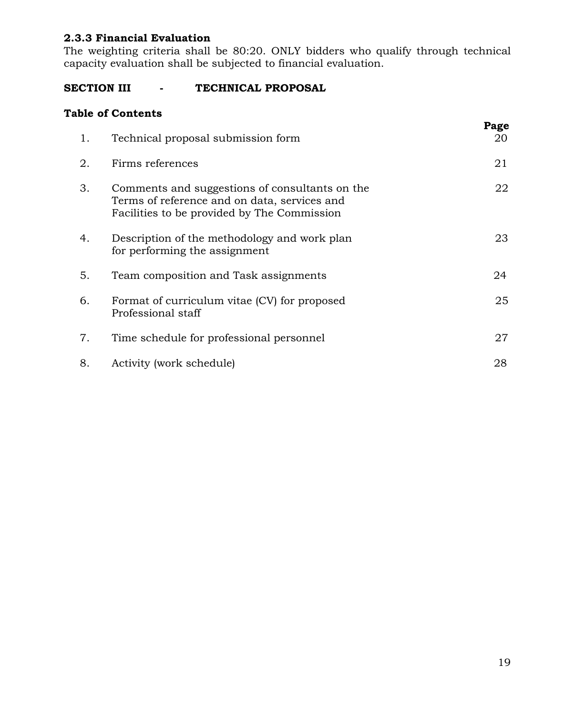## **2.3.3 Financial Evaluation**

The weighting criteria shall be 80:20. ONLY bidders who qualify through technical capacity evaluation shall be subjected to financial evaluation.

## <span id="page-18-0"></span>**SECTION III - TECHNICAL PROPOSAL**

|    | <b>Table of Contents</b>                                                                                                                      |            |
|----|-----------------------------------------------------------------------------------------------------------------------------------------------|------------|
| 1. | Technical proposal submission form                                                                                                            | Page<br>20 |
| 2. | Firms references                                                                                                                              | 21         |
| 3. | Comments and suggestions of consultants on the<br>Terms of reference and on data, services and<br>Facilities to be provided by The Commission | 22         |
| 4. | Description of the methodology and work plan<br>for performing the assignment                                                                 | 23         |
| 5. | Team composition and Task assignments                                                                                                         | 24         |
| 6. | Format of curriculum vitae (CV) for proposed<br>Professional staff                                                                            | 25         |
| 7. | Time schedule for professional personnel                                                                                                      | 27         |
| 8. | Activity (work schedule)                                                                                                                      | 28         |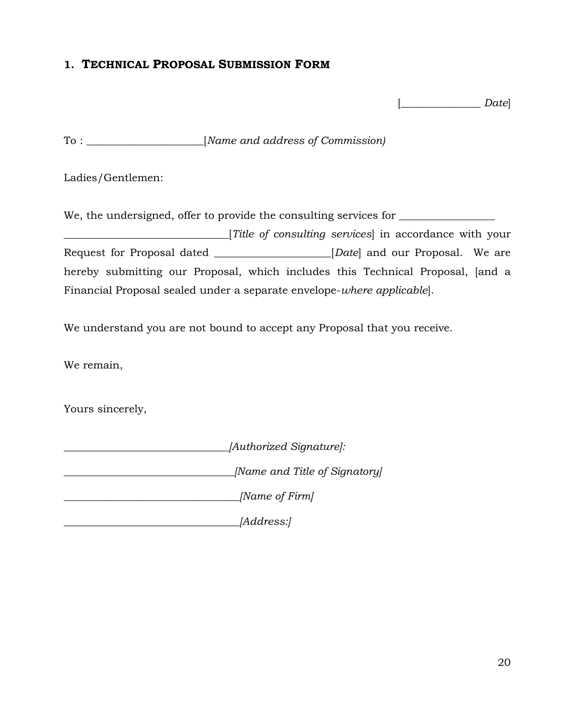## **1. TECHNICAL PROPOSAL SUBMISSION FORM**

[\_\_\_\_\_\_\_\_\_\_\_\_\_\_\_ *Date*]

To : \_\_\_\_\_\_\_\_\_\_\_\_\_\_\_\_\_\_\_\_\_\_[*Name and address of Commission)*

Ladies/Gentlemen:

We, the undersigned, offer to provide the consulting services for \_\_\_\_\_\_\_\_\_\_\_\_\_\_\_ \_\_\_\_\_\_\_\_\_\_\_\_\_\_\_\_\_\_\_\_\_\_\_\_\_\_\_\_\_\_\_[*Title of consulting services*] in accordance with your Request for Proposal dated \_\_\_\_\_\_\_\_\_\_\_\_\_\_\_\_\_\_\_\_\_\_[*Date*] and our Proposal. We are hereby submitting our Proposal, which includes this Technical Proposal, [and a Financial Proposal sealed under a separate envelope-*where applicable*].

We understand you are not bound to accept any Proposal that you receive.

We remain,

Yours sincerely,

| [Authorized Signature]:       |  |
|-------------------------------|--|
| [Name and Title of Signatory] |  |
| [Name of Firm]                |  |
| <i>[Address:]</i>             |  |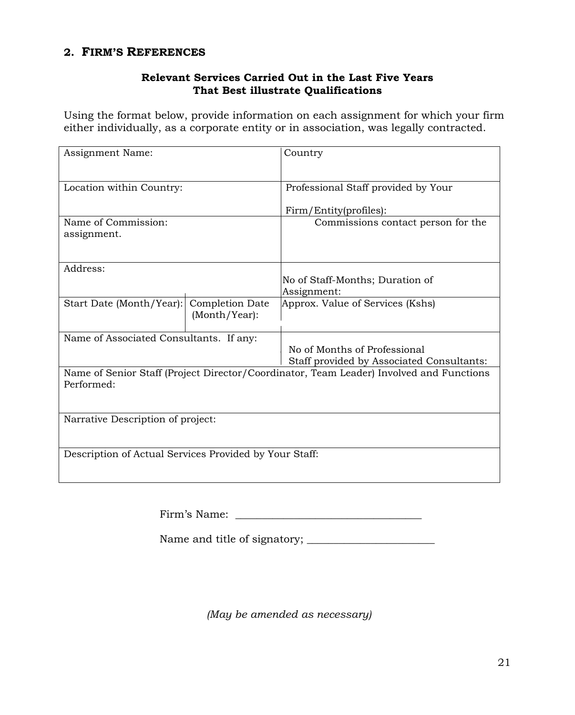## **2. FIRM'S REFERENCES**

#### **Relevant Services Carried Out in the Last Five Years That Best illustrate Qualifications**

Using the format below, provide information on each assignment for which your firm either individually, as a corporate entity or in association, was legally contracted.

| Assignment Name:                                       |                                         | Country                                                                                 |
|--------------------------------------------------------|-----------------------------------------|-----------------------------------------------------------------------------------------|
| Location within Country:                               |                                         | Professional Staff provided by Your                                                     |
|                                                        |                                         | Firm/Entity(profiles):                                                                  |
| Name of Commission:<br>assignment.                     |                                         | Commissions contact person for the                                                      |
| Address:                                               |                                         |                                                                                         |
|                                                        |                                         | No of Staff-Months; Duration of<br>Assignment:                                          |
| Start Date (Month/Year):                               | <b>Completion Date</b><br>(Month/Year): | Approx. Value of Services (Kshs)                                                        |
| Name of Associated Consultants. If any:                |                                         | No of Months of Professional<br>Staff provided by Associated Consultants:               |
| Performed:                                             |                                         | Name of Senior Staff (Project Director/Coordinator, Team Leader) Involved and Functions |
| Narrative Description of project:                      |                                         |                                                                                         |
| Description of Actual Services Provided by Your Staff: |                                         |                                                                                         |

Firm's Name:

Name and title of signatory; \_\_\_\_\_\_\_\_\_\_\_\_\_\_\_\_\_\_\_\_\_\_\_\_

*(May be amended as necessary)*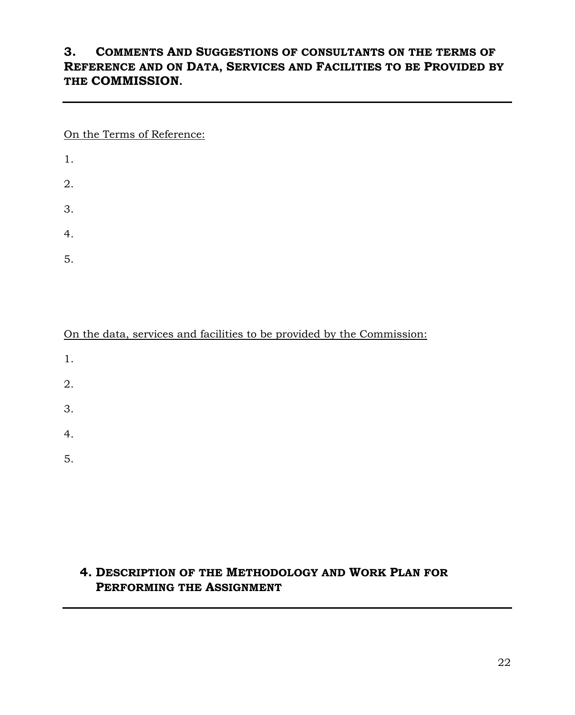## **3. COMMENTS AND SUGGESTIONS OF CONSULTANTS ON THE TERMS OF REFERENCE AND ON DATA, SERVICES AND FACILITIES TO BE PROVIDED BY THE COMMISSION.**

On the Terms of Reference:

| 1. |  |  |  |
|----|--|--|--|
| 2. |  |  |  |
| 3. |  |  |  |
| 4. |  |  |  |
| 5. |  |  |  |

On the data, services and facilities to be provided by the Commission:

- 1. 2. 3. 4.
- 5.

## **4. DESCRIPTION OF THE METHODOLOGY AND WORK PLAN FOR PERFORMING THE ASSIGNMENT**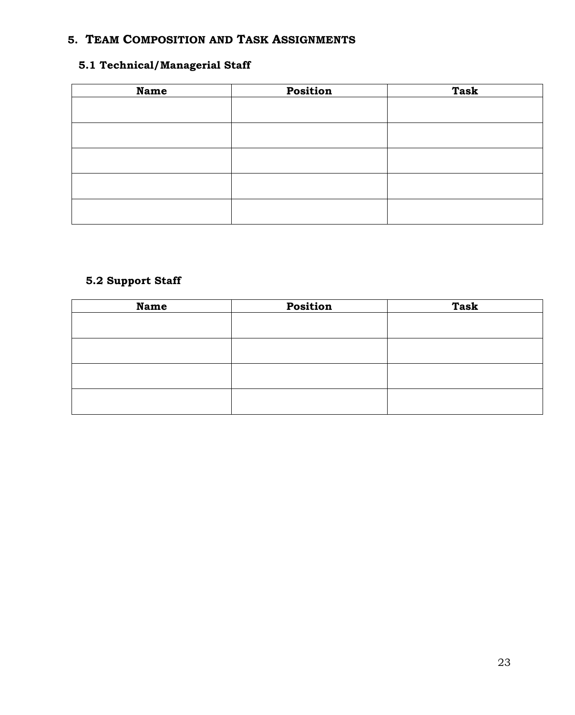## **5. TEAM COMPOSITION AND TASK ASSIGNMENTS**

## **5.1 Technical/Managerial Staff**

| <b>Name</b> | Position | <b>Task</b> |
|-------------|----------|-------------|
|             |          |             |
|             |          |             |
|             |          |             |
|             |          |             |
|             |          |             |
|             |          |             |
|             |          |             |
|             |          |             |
|             |          |             |
|             |          |             |

## **5.2 Support Staff**

| <b>Name</b> | Position | <b>Task</b> |
|-------------|----------|-------------|
|             |          |             |
|             |          |             |
|             |          |             |
|             |          |             |
|             |          |             |
|             |          |             |
|             |          |             |
|             |          |             |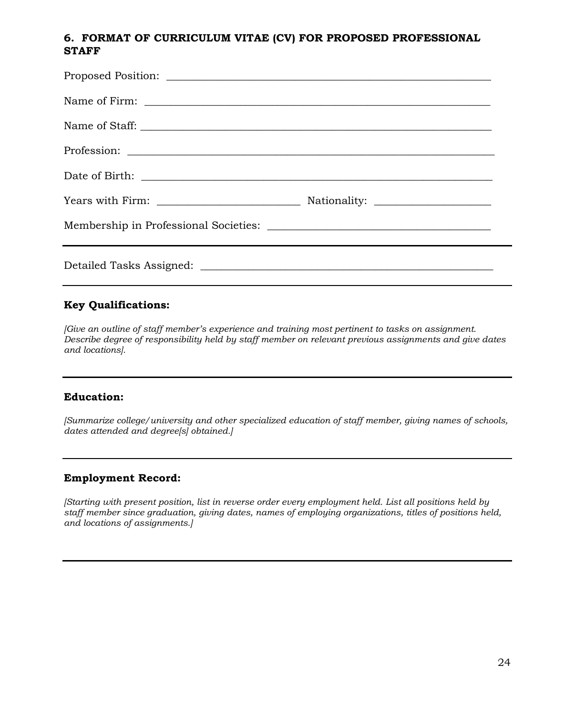### **6. FORMAT OF CURRICULUM VITAE (CV) FOR PROPOSED PROFESSIONAL STAFF**

#### **Key Qualifications:**

*[Give an outline of staff member's experience and training most pertinent to tasks on assignment. Describe degree of responsibility held by staff member on relevant previous assignments and give dates and locations].*

#### **Education:**

*[Summarize college/university and other specialized education of staff member, giving names of schools, dates attended and degree[s] obtained.]*

#### **Employment Record:**

*[Starting with present position, list in reverse order every employment held. List all positions held by staff member since graduation, giving dates, names of employing organizations, titles of positions held, and locations of assignments.]*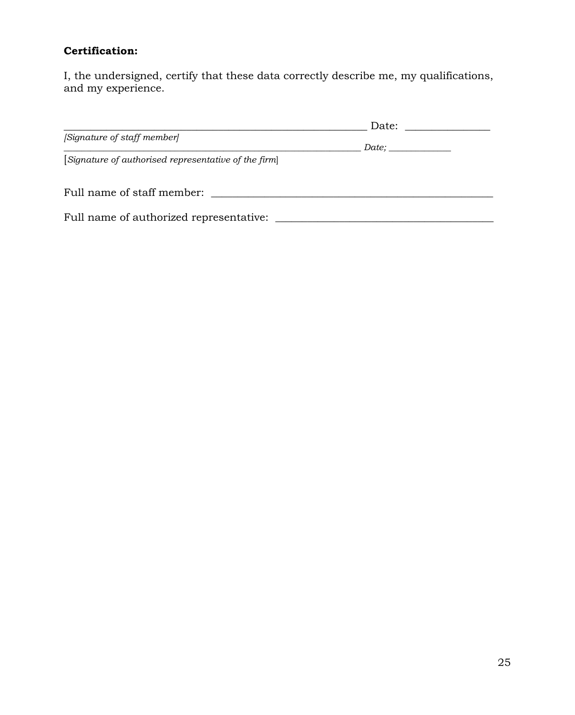## **Certification:**

I, the undersigned, certify that these data correctly describe me, my qualifications, and my experience.

|                                                      | Date: |
|------------------------------------------------------|-------|
| [Signature of staff member]                          |       |
| [Signature of authorised representative of the firm] |       |
| Full name of staff member:                           |       |
| Full name of authorized representative:              |       |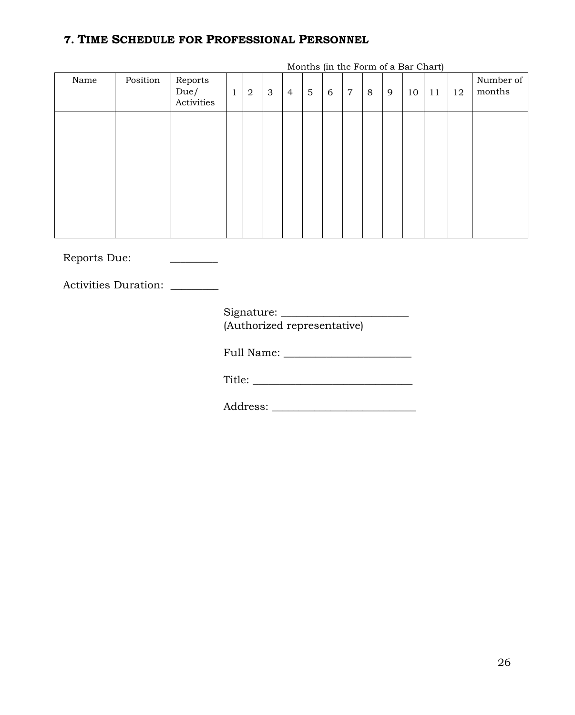## **7. TIME SCHEDULE FOR PROFESSIONAL PERSONNEL**

|      |          |                               |       |                |   |                |                |   |                |   |   | $\frac{1}{2}$ |    |    |                     |
|------|----------|-------------------------------|-------|----------------|---|----------------|----------------|---|----------------|---|---|---------------|----|----|---------------------|
| Name | Position | Reports<br>Due/<br>Activities | $1\,$ | $\overline{2}$ | 3 | $\overline{4}$ | $\overline{5}$ | 6 | $\overline{7}$ | 8 | 9 | 10            | 11 | 12 | Number of<br>months |
|      |          |                               |       |                |   |                |                |   |                |   |   |               |    |    |                     |

Months (in the Form of a Bar Chart)

Reports Due: \_\_\_\_\_\_\_\_\_

Activities Duration:

Signature: \_\_\_\_\_\_\_\_\_\_\_\_\_\_\_\_\_\_\_\_\_\_\_\_ (Authorized representative)

Full Name: \_\_\_\_\_\_\_\_\_\_\_\_\_\_\_\_\_\_\_\_\_\_\_\_

Title: \_\_\_\_\_\_\_\_\_\_\_\_\_\_\_\_\_\_\_\_\_\_\_\_\_\_\_\_\_\_

Address: \_\_\_\_\_\_\_\_\_\_\_\_\_\_\_\_\_\_\_\_\_\_\_\_\_\_\_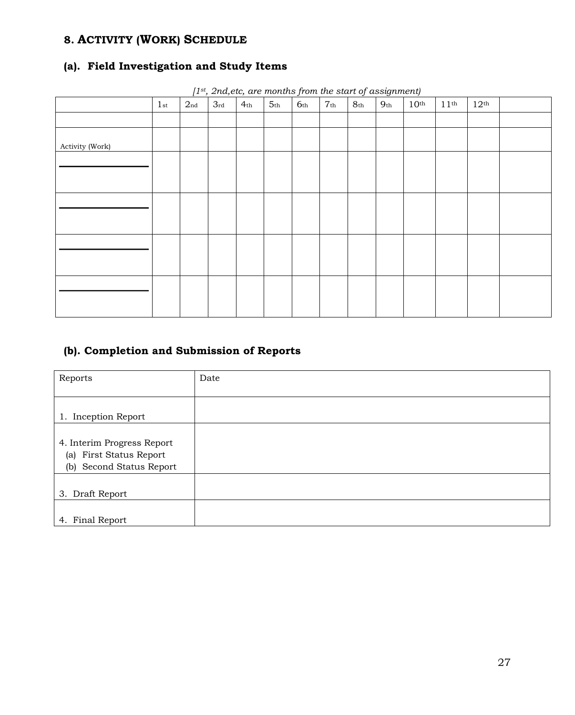## **8. ACTIVITY (WORK) SCHEDULE**

# **(a). Field Investigation and Study Items**

|                 | 1st | $\mathbf{r}$ $\mathbf{r}$<br>2 <sub>nd</sub> | $\sim$ $\sim$<br>3rd | 4 <sub>th</sub> | 5 <sub>th</sub> | $\mathbf{v}$<br>6 <sub>th</sub> | 7 <sub>th</sub> | $\overline{ }$<br>8 <sub>th</sub> | <u>ب</u><br>$9_{\rm th}$ | $\overline{\phantom{a}}$<br>$10^{\rm th}$ | $11^{\text{th}}$ | $12^{\rm th}$ |  |
|-----------------|-----|----------------------------------------------|----------------------|-----------------|-----------------|---------------------------------|-----------------|-----------------------------------|--------------------------|-------------------------------------------|------------------|---------------|--|
|                 |     |                                              |                      |                 |                 |                                 |                 |                                   |                          |                                           |                  |               |  |
|                 |     |                                              |                      |                 |                 |                                 |                 |                                   |                          |                                           |                  |               |  |
| Activity (Work) |     |                                              |                      |                 |                 |                                 |                 |                                   |                          |                                           |                  |               |  |
|                 |     |                                              |                      |                 |                 |                                 |                 |                                   |                          |                                           |                  |               |  |
|                 |     |                                              |                      |                 |                 |                                 |                 |                                   |                          |                                           |                  |               |  |
|                 |     |                                              |                      |                 |                 |                                 |                 |                                   |                          |                                           |                  |               |  |
|                 |     |                                              |                      |                 |                 |                                 |                 |                                   |                          |                                           |                  |               |  |
|                 |     |                                              |                      |                 |                 |                                 |                 |                                   |                          |                                           |                  |               |  |
|                 |     |                                              |                      |                 |                 |                                 |                 |                                   |                          |                                           |                  |               |  |
|                 |     |                                              |                      |                 |                 |                                 |                 |                                   |                          |                                           |                  |               |  |
|                 |     |                                              |                      |                 |                 |                                 |                 |                                   |                          |                                           |                  |               |  |
|                 |     |                                              |                      |                 |                 |                                 |                 |                                   |                          |                                           |                  |               |  |
|                 |     |                                              |                      |                 |                 |                                 |                 |                                   |                          |                                           |                  |               |  |
|                 |     |                                              |                      |                 |                 |                                 |                 |                                   |                          |                                           |                  |               |  |
|                 |     |                                              |                      |                 |                 |                                 |                 |                                   |                          |                                           |                  |               |  |

*[1st, 2nd,etc, are months from the start of assignment)* 

## **(b). Completion and Submission of Reports**

| Reports                                                                              | Date |
|--------------------------------------------------------------------------------------|------|
| 1. Inception Report                                                                  |      |
| 4. Interim Progress Report<br>(a) First Status Report<br>Second Status Report<br>(b) |      |
| 3. Draft Report                                                                      |      |
| 4. Final Report                                                                      |      |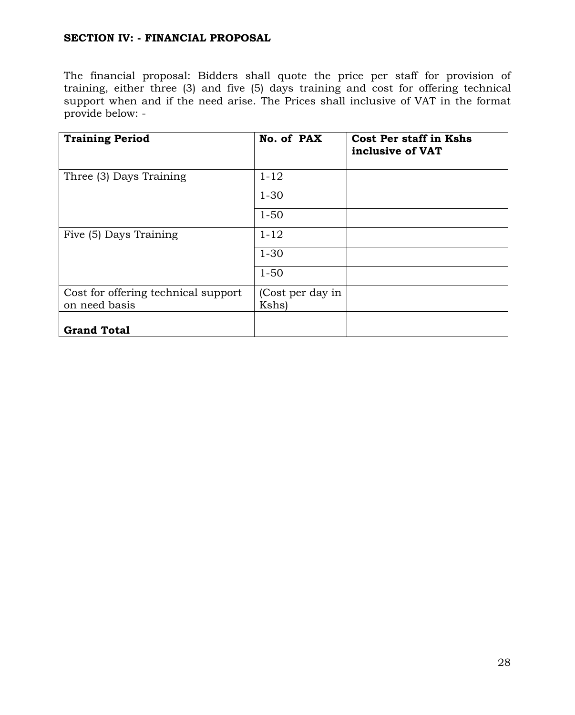#### <span id="page-27-0"></span>**SECTION IV: - FINANCIAL PROPOSAL**

The financial proposal: Bidders shall quote the price per staff for provision of training, either three (3) and five (5) days training and cost for offering technical support when and if the need arise. The Prices shall inclusive of VAT in the format provide below: -

| <b>Training Period</b>                               | No. of PAX                | Cost Per staff in Kshs<br>inclusive of VAT |
|------------------------------------------------------|---------------------------|--------------------------------------------|
| Three (3) Days Training                              | $1 - 12$                  |                                            |
|                                                      | $1 - 30$                  |                                            |
|                                                      | $1 - 50$                  |                                            |
| Five (5) Days Training                               | $1 - 12$                  |                                            |
|                                                      | $1 - 30$                  |                                            |
|                                                      | $1 - 50$                  |                                            |
| Cost for offering technical support<br>on need basis | (Cost per day in<br>Kshs) |                                            |
| <b>Grand Total</b>                                   |                           |                                            |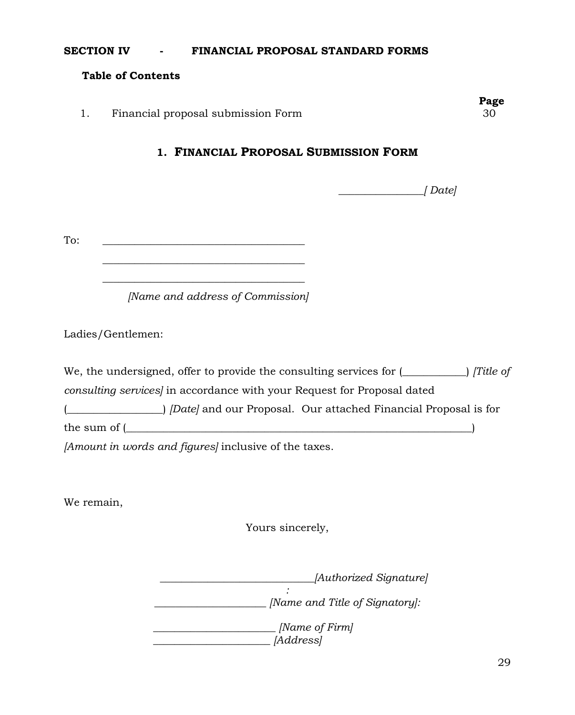### <span id="page-28-0"></span>**SECTION IV - FINANCIAL PROPOSAL STANDARD FORMS**

#### **Table of Contents**

 **Page** 1. Financial proposal submission Form 30 **1. FINANCIAL PROPOSAL SUBMISSION FORM**  *\_\_\_\_\_\_\_\_\_\_\_\_\_\_\_\_[ Date]* To:  $\qquad \qquad$  $\overline{\phantom{a}}$  , where the contract of the contract of the contract of the contract of the contract of the contract of the contract of the contract of the contract of the contract of the contract of the contract of the contr  $\mathcal{L}_\text{max}$ *[Name and address of Commission]* Ladies/Gentlemen:

We, the undersigned, offer to provide the consulting services for (\_\_\_\_\_\_\_\_\_\_\_\_) *[Title of consulting services]* in accordance with your Request for Proposal dated (\_\_\_\_\_\_\_\_\_\_\_\_\_\_\_\_\_\_) *[Date]* and our Proposal. Our attached Financial Proposal is for the sum of  $(\_$ 

*[Amount in words and figures]* inclusive of the taxes.

We remain,

Yours sincerely,

 *\_\_\_\_\_\_\_\_\_\_\_\_\_\_\_\_\_\_\_\_\_\_\_\_\_\_\_\_\_[Authorized Signature] : \_\_\_\_\_\_\_\_\_\_\_\_\_\_\_\_\_\_\_\_\_ [Name and Title of Signatory]:*

 *\_\_\_\_\_\_\_\_\_\_\_\_\_\_\_\_\_\_\_\_\_\_\_ [Name of Firm] \_\_\_\_\_\_\_\_\_\_\_\_\_\_\_\_\_\_\_\_\_\_ [Address]*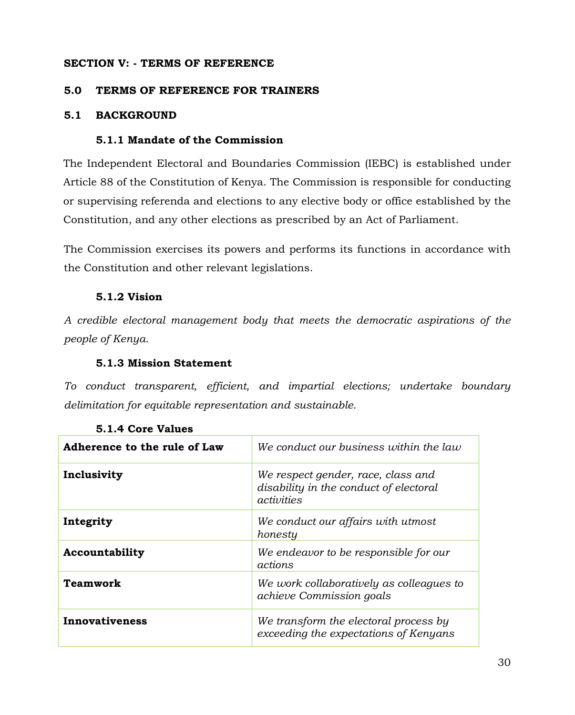#### <span id="page-29-0"></span>**SECTION V: - TERMS OF REFERENCE**

#### **5.0 TERMS OF REFERENCE FOR TRAINERS**

#### **5.1 BACKGROUND**

#### **5.1.1 Mandate of the Commission**

The Independent Electoral and Boundaries Commission (IEBC) is established under Article 88 of the Constitution of Kenya. The Commission is responsible for conducting or supervising referenda and elections to any elective body or office established by the Constitution, and any other elections as prescribed by an Act of Parliament.

The Commission exercises its powers and performs its functions in accordance with the Constitution and other relevant legislations.

### **5.1.2 Vision**

*A credible electoral management body that meets the democratic aspirations of the people of Kenya.*

#### **5.1.3 Mission Statement**

*To conduct transparent, efficient, and impartial elections; undertake boundary delimitation for equitable representation and sustainable.*

| Adherence to the rule of Law | We conduct our business within the law                                                     |
|------------------------------|--------------------------------------------------------------------------------------------|
| Inclusivity                  | We respect gender, race, class and<br>disability in the conduct of electoral<br>activities |
| Integrity                    | We conduct our affairs with utmost<br>honesty                                              |
| <b>Accountability</b>        | We endeavor to be responsible for our<br>actions                                           |
| <b>Teamwork</b>              | We work collaboratively as colleagues to<br>achieve Commission goals                       |
| Innovativeness               | We transform the electoral process by<br>exceeding the expectations of Kenyans             |

#### **5.1.4 Core Values**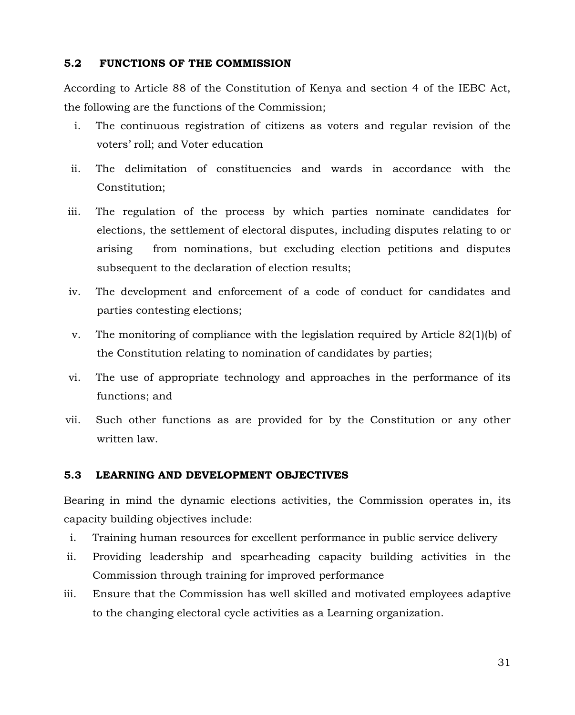#### **5.2 FUNCTIONS OF THE COMMISSION**

According to Article 88 of the Constitution of Kenya and section 4 of the IEBC Act, the following are the functions of the Commission;

- i. The continuous registration of citizens as voters and regular revision of the voters' roll; and Voter education
- ii. The delimitation of constituencies and wards in accordance with the Constitution;
- iii. The regulation of the process by which parties nominate candidates for elections, the settlement of electoral disputes, including disputes relating to or arising from nominations, but excluding election petitions and disputes subsequent to the declaration of election results;
- iv. The development and enforcement of a code of conduct for candidates and parties contesting elections;
- v. The monitoring of compliance with the legislation required by Article 82(1)(b) of the Constitution relating to nomination of candidates by parties;
- vi. The use of appropriate technology and approaches in the performance of its functions; and
- vii. Such other functions as are provided for by the Constitution or any other written law.

### **5.3 LEARNING AND DEVELOPMENT OBJECTIVES**

Bearing in mind the dynamic elections activities, the Commission operates in, its capacity building objectives include:

- i. Training human resources for excellent performance in public service delivery
- ii. Providing leadership and spearheading capacity building activities in the Commission through training for improved performance
- iii. Ensure that the Commission has well skilled and motivated employees adaptive to the changing electoral cycle activities as a Learning organization.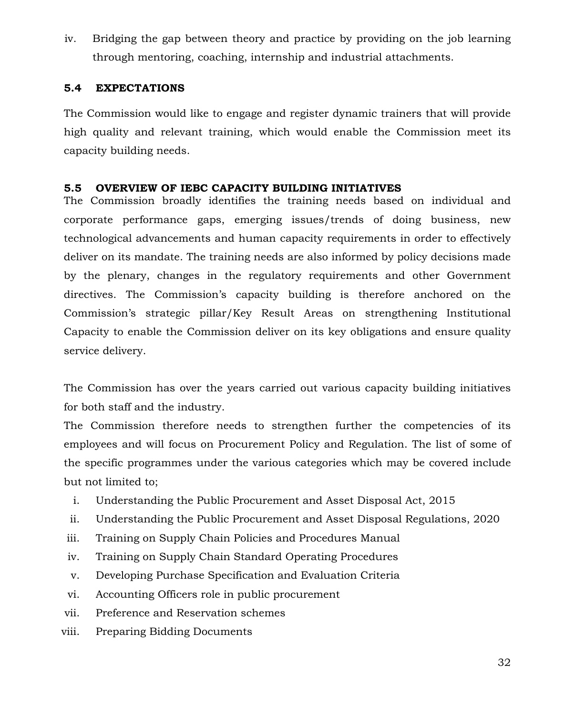iv. Bridging the gap between theory and practice by providing on the job learning through mentoring, coaching, internship and industrial attachments.

## **5.4 EXPECTATIONS**

The Commission would like to engage and register dynamic trainers that will provide high quality and relevant training, which would enable the Commission meet its capacity building needs.

## **5.5 OVERVIEW OF IEBC CAPACITY BUILDING INITIATIVES**

The Commission broadly identifies the training needs based on individual and corporate performance gaps, emerging issues/trends of doing business, new technological advancements and human capacity requirements in order to effectively deliver on its mandate. The training needs are also informed by policy decisions made by the plenary, changes in the regulatory requirements and other Government directives. The Commission's capacity building is therefore anchored on the Commission's strategic pillar/Key Result Areas on strengthening Institutional Capacity to enable the Commission deliver on its key obligations and ensure quality service delivery.

The Commission has over the years carried out various capacity building initiatives for both staff and the industry.

The Commission therefore needs to strengthen further the competencies of its employees and will focus on Procurement Policy and Regulation. The list of some of the specific programmes under the various categories which may be covered include but not limited to;

- i. Understanding the Public Procurement and Asset Disposal Act, 2015
- ii. Understanding the Public Procurement and Asset Disposal Regulations, 2020
- iii. Training on Supply Chain Policies and Procedures Manual
- iv. Training on Supply Chain Standard Operating Procedures
- v. Developing Purchase Specification and Evaluation Criteria
- vi. Accounting Officers role in public procurement
- vii. Preference and Reservation schemes
- viii. Preparing Bidding Documents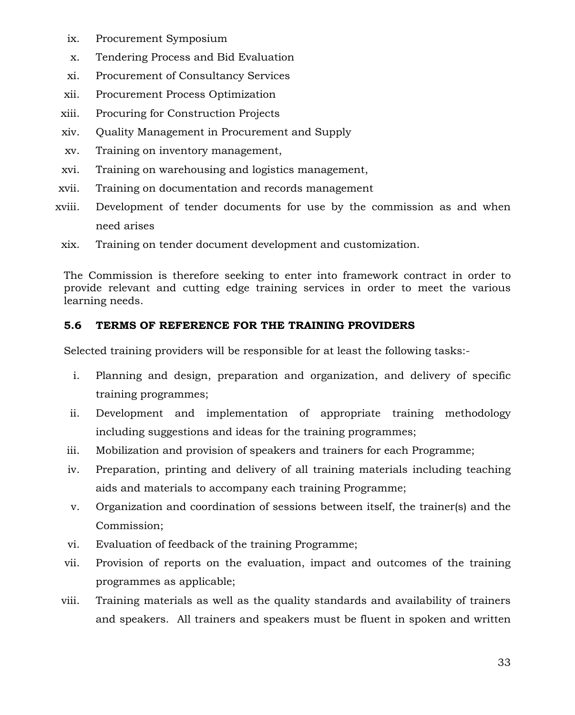- ix. Procurement Symposium
- x. Tendering Process and Bid Evaluation
- xi. Procurement of Consultancy Services
- xii. Procurement Process Optimization
- xiii. Procuring for Construction Projects
- xiv. Quality Management in Procurement and Supply
- xv. Training on inventory management,
- xvi. Training on warehousing and logistics management,
- xvii. Training on documentation and records management
- xviii. Development of tender documents for use by the commission as and when need arises
	- xix. Training on tender document development and customization.

The Commission is therefore seeking to enter into framework contract in order to provide relevant and cutting edge training services in order to meet the various learning needs.

## **5.6 TERMS OF REFERENCE FOR THE TRAINING PROVIDERS**

Selected training providers will be responsible for at least the following tasks:-

- i. Planning and design, preparation and organization, and delivery of specific training programmes;
- ii. Development and implementation of appropriate training methodology including suggestions and ideas for the training programmes;
- iii. Mobilization and provision of speakers and trainers for each Programme;
- iv. Preparation, printing and delivery of all training materials including teaching aids and materials to accompany each training Programme;
- v. Organization and coordination of sessions between itself, the trainer(s) and the Commission;
- vi. Evaluation of feedback of the training Programme;
- vii. Provision of reports on the evaluation, impact and outcomes of the training programmes as applicable;
- viii. Training materials as well as the quality standards and availability of trainers and speakers. All trainers and speakers must be fluent in spoken and written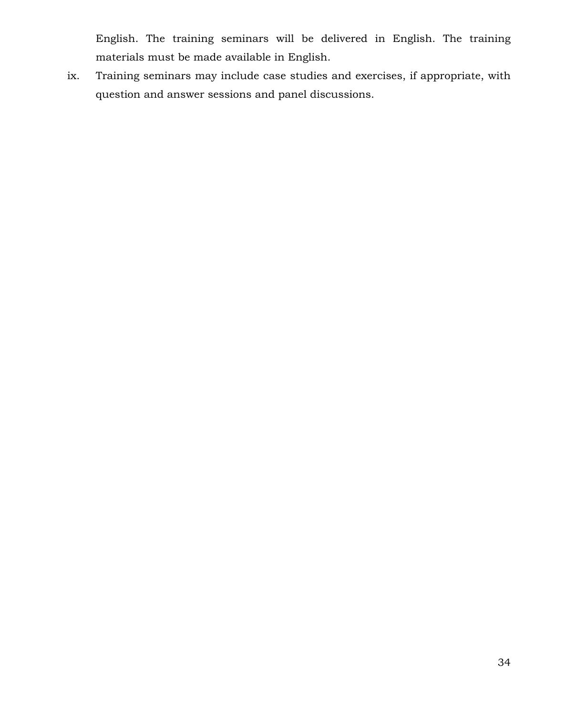English. The training seminars will be delivered in English. The training materials must be made available in English.

ix. Training seminars may include case studies and exercises, if appropriate, with question and answer sessions and panel discussions.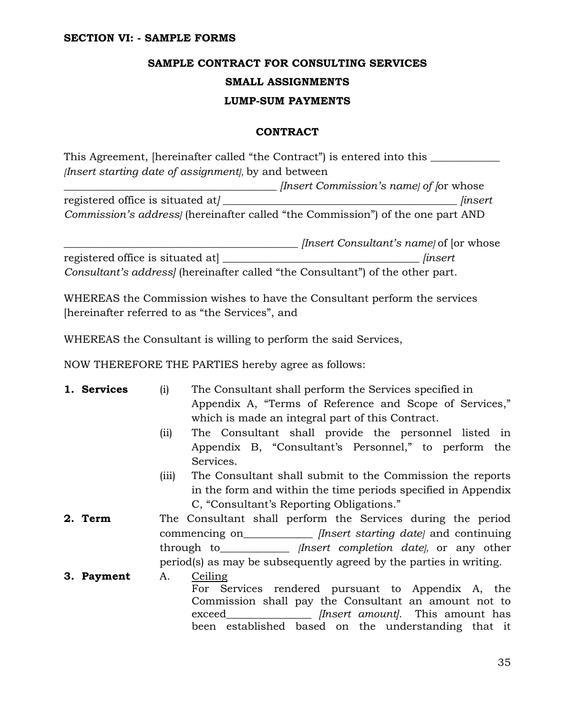#### <span id="page-34-0"></span>**SECTION VI: - SAMPLE FORMS**

# **SAMPLE CONTRACT FOR CONSULTING SERVICES SMALL ASSIGNMENTS LUMP-SUM PAYMENTS**

#### **CONTRACT**

This Agreement, [hereinafter called "the Contract"] is entered into this \_\_\_\_\_\_\_\_ *[Insert starting date of assignment],* by and between \_\_\_\_\_\_\_\_\_\_\_\_\_\_\_\_\_\_\_\_\_\_\_\_\_\_\_\_\_\_\_\_\_\_\_\_\_\_\_\_ *[Insert Commission's name] of [*or whose registered office is situated at*] \_\_\_\_\_\_\_\_\_\_\_\_\_\_\_\_\_\_\_\_\_\_\_\_\_\_\_\_\_\_\_\_\_\_\_\_\_\_\_\_\_\_\_\_ [insert Commission's address]* (hereinafter called "the Commission") of the one part AND

\_\_\_\_\_\_\_\_\_\_\_\_\_\_\_\_\_\_\_\_\_\_\_\_\_\_\_\_\_\_\_\_\_\_\_\_\_\_\_\_\_\_\_\_ *[Insert Consultant's name]* of [or whose registered office is situated at] *\_\_\_\_\_\_\_\_\_\_\_\_\_\_\_\_\_\_\_\_\_\_\_\_\_\_\_\_\_\_\_\_\_\_\_\_\_ [insert Consultant's address]* (hereinafter called "the Consultant") of the other part.

WHEREAS the Commission wishes to have the Consultant perform the services [hereinafter referred to as "the Services", and

WHEREAS the Consultant is willing to perform the said Services,

NOW THEREFORE THE PARTIES hereby agree as follows:

| 1. Services | (i)   | The Consultant shall perform the Services specified in<br>Appendix A, "Terms of Reference and Scope of Services,"                                                                                                                                                       |
|-------------|-------|-------------------------------------------------------------------------------------------------------------------------------------------------------------------------------------------------------------------------------------------------------------------------|
|             | (iii) | which is made an integral part of this Contract.<br>The Consultant shall provide the personnel listed in<br>Appendix B, "Consultant's Personnel," to perform the<br>Services.                                                                                           |
|             | (iii) | The Consultant shall submit to the Commission the reports<br>in the form and within the time periods specified in Appendix<br>C, "Consultant's Reporting Obligations."                                                                                                  |
| 2. Term     |       | The Consultant shall perform the Services during the period<br>commencing on <i>Insert starting date</i> and continuing<br>through to ____________ <i>[Insert completion date]</i> , or any other<br>period(s) as may be subsequently agreed by the parties in writing. |
| 3. Payment  | A.    | Ceiling<br>For Services rendered pursuant to Appendix A, the<br>Commission shall pay the Consultant an amount not to<br>exceed [Insert amount]. This amount has<br>been established based on the understanding that it                                                  |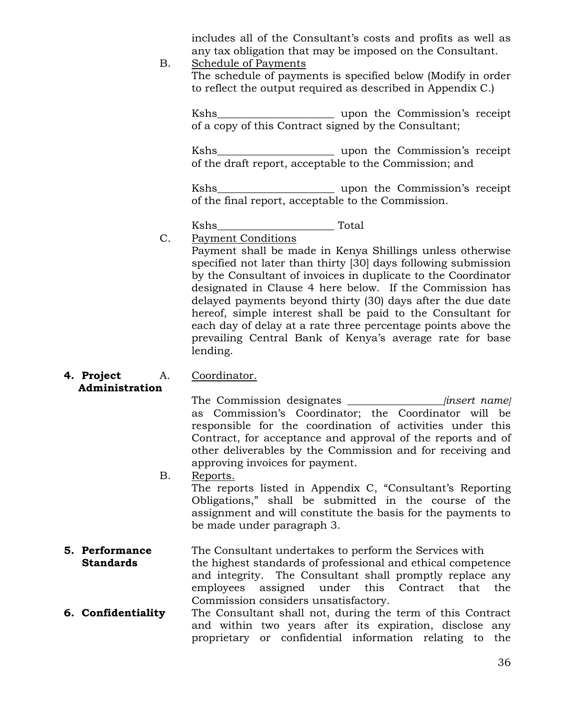includes all of the Consultant's costs and profits as well as any tax obligation that may be imposed on the Consultant.

B. Schedule of Payments

The schedule of payments is specified below (Modify in order to reflect the output required as described in Appendix C.)

Kshs Upon the Commission's receipt of a copy of this Contract signed by the Consultant;

Kshs of the draft report, acceptable to the Commission; and

Kshs upon the Commission's receipt of the final report, acceptable to the Commission.

Kshs Total C. Payment Conditions

Payment shall be made in Kenya Shillings unless otherwise specified not later than thirty [30] days following submission by the Consultant of invoices in duplicate to the Coordinator designated in Clause 4 here below. If the Commission has delayed payments beyond thirty (30) days after the due date hereof, simple interest shall be paid to the Consultant for each day of delay at a rate three percentage points above the prevailing Central Bank of Kenya's average rate for base lending.

## **4. Project** A. Coordinator.  **Administration**

The Commission designates \_\_\_\_\_\_\_\_\_\_\_\_\_\_\_\_\_\_*[insert name]* as Commission's Coordinator; the Coordinator will be responsible for the coordination of activities under this Contract, for acceptance and approval of the reports and of other deliverables by the Commission and for receiving and approving invoices for payment.

B. Reports. The reports listed in Appendix C, "Consultant's Reporting Obligations," shall be submitted in the course of the assignment and will constitute the basis for the payments to be made under paragraph 3.

**5. Performance** The Consultant undertakes to perform the Services with **Standards the highest standards of professional and ethical competence** and integrity. The Consultant shall promptly replace any employees assigned under this Contract that the

Commission considers unsatisfactory. **6. Confidentiality** The Consultant shall not, during the term of this Contract and within two years after its expiration, disclose any proprietary or confidential information relating to the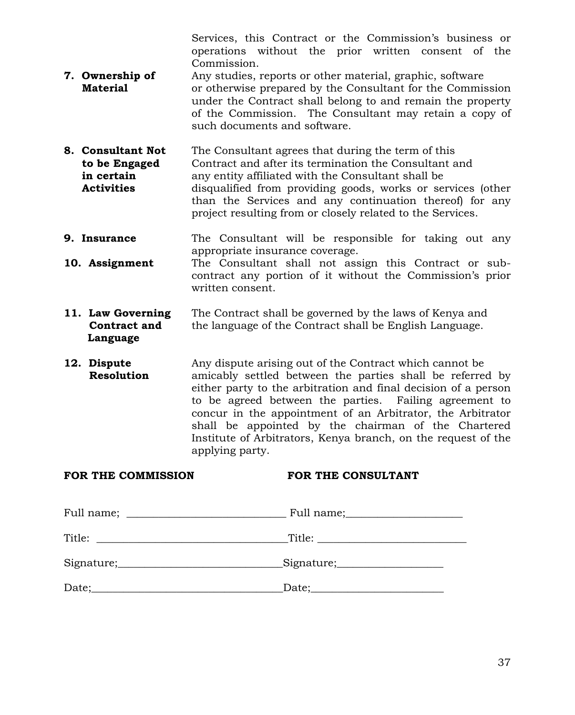Services, this Contract or the Commission's business or operations without the prior written consent of the Commission.

- **7. Ownership of** Any studies, reports or other material, graphic, software **Material** or otherwise prepared by the Consultant for the Commis or otherwise prepared by the Consultant for the Commission under the Contract shall belong to and remain the property of the Commission. The Consultant may retain a copy of such documents and software.
- **8. Consultant Not** The Consultant agrees that during the term of this  **to be Engaged** Contract and after its termination the Consultant and **in certain** any entity affiliated with the Consultant shall be **Activities** disqualified from providing goods, works or services (other than the Services and any continuation thereof) for any project resulting from or closely related to the Services.
- **9. Insurance** The Consultant will be responsible for taking out any appropriate insurance coverage.
- **10. Assignment** The Consultant shall not assign this Contract or subcontract any portion of it without the Commission's prior written consent.
- **11. Law Governing** The Contract shall be governed by the laws of Kenya and **Contract and** the language of the Contract shall be English Language. **Language**
- **12. Dispute** Any dispute arising out of the Contract which cannot be **Resolution** amicably settled between the parties shall be referred by either party to the arbitration and final decision of a person to be agreed between the parties. Failing agreement to concur in the appointment of an Arbitrator, the Arbitrator shall be appointed by the chairman of the Chartered Institute of Arbitrators, Kenya branch, on the request of the applying party.

**FOR THE COMMISSION FOR THE CONSULTANT**

| Signature; ___________________ |
|--------------------------------|
|                                |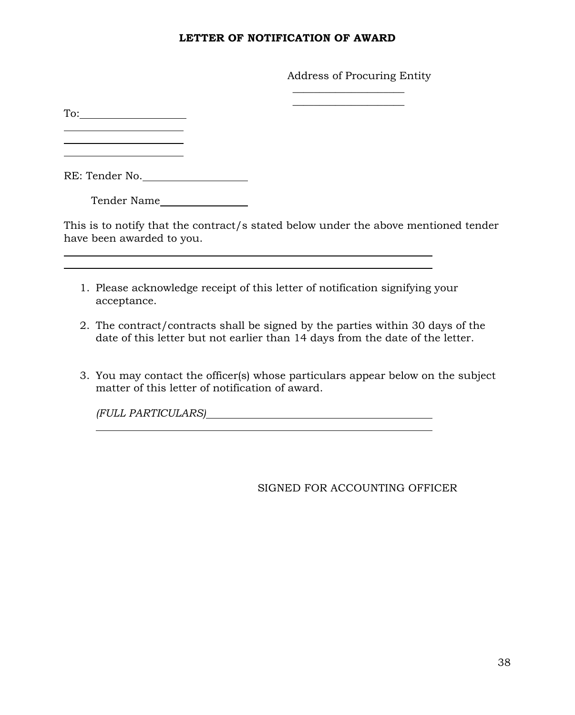### **LETTER OF NOTIFICATION OF AWARD**

Address of Procuring Entity

 $\overline{\phantom{a}}$  , where  $\overline{\phantom{a}}$  , where  $\overline{\phantom{a}}$  $\overline{\phantom{a}}$  , where  $\overline{\phantom{a}}$  , where  $\overline{\phantom{a}}$ 

To:

RE: Tender No.

Tender Name

This is to notify that the contract/s stated below under the above mentioned tender have been awarded to you.

1. Please acknowledge receipt of this letter of notification signifying your acceptance.

<u> 1980 - Johann Stoff, deutscher Stoffen und der Stoffen und der Stoffen und der Stoffen und der Stoffen und de</u>

- 2. The contract/contracts shall be signed by the parties within 30 days of the date of this letter but not earlier than 14 days from the date of the letter.
- 3. You may contact the officer(s) whose particulars appear below on the subject matter of this letter of notification of award.

*(FULL PARTICULARS)*

SIGNED FOR ACCOUNTING OFFICER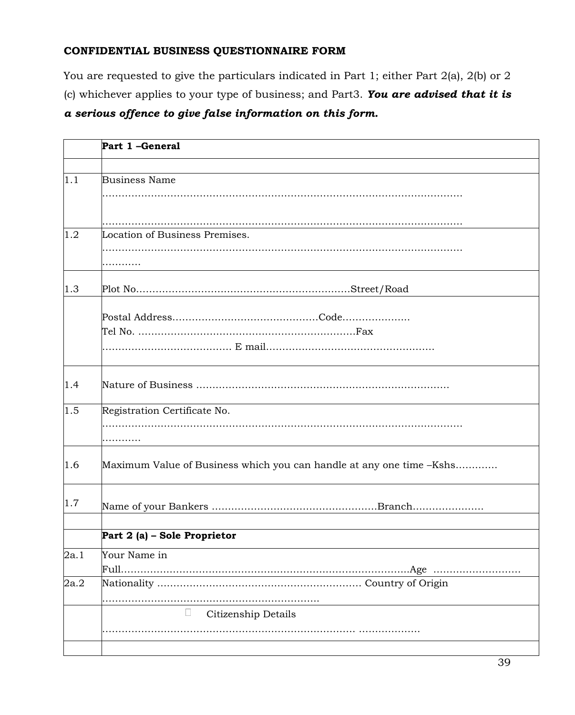## **CONFIDENTIAL BUSINESS QUESTIONNAIRE FORM**

You are requested to give the particulars indicated in Part 1; either Part 2(a), 2(b) or 2 (c) whichever applies to your type of business; and Part3. *You are advised that it is a serious offence to give false information on this form.*

|      | Part 1-General                                                       |
|------|----------------------------------------------------------------------|
|      |                                                                      |
| 1.1  | <b>Business Name</b>                                                 |
|      |                                                                      |
|      |                                                                      |
|      |                                                                      |
| 1.2  | Location of Business Premises.                                       |
|      |                                                                      |
|      | .                                                                    |
| 1.3  |                                                                      |
|      |                                                                      |
|      |                                                                      |
|      |                                                                      |
|      |                                                                      |
|      |                                                                      |
| 1.4  |                                                                      |
|      |                                                                      |
| 1.5  | Registration Certificate No.                                         |
|      |                                                                      |
|      |                                                                      |
| 1.6  |                                                                      |
|      | Maximum Value of Business which you can handle at any one time -Kshs |
|      |                                                                      |
| 1.7  |                                                                      |
|      |                                                                      |
|      | Part 2 (a) – Sole Proprietor                                         |
| 2a.1 | Your Name in                                                         |
|      |                                                                      |
| 2a.2 |                                                                      |
|      |                                                                      |
|      | $\Box$<br>Citizenship Details                                        |
|      |                                                                      |
|      |                                                                      |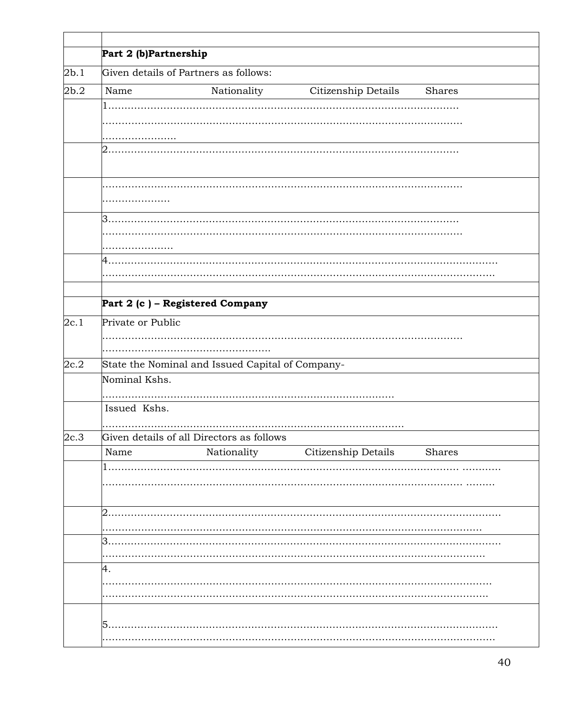|      | Part 2 (b)Partnership |                                                  |                     |        |  |  |  |  |  |  |  |
|------|-----------------------|--------------------------------------------------|---------------------|--------|--|--|--|--|--|--|--|
| 2b.1 |                       | Given details of Partners as follows:            |                     |        |  |  |  |  |  |  |  |
| 2b.2 | Name                  | Nationality                                      | Citizenship Details | Shares |  |  |  |  |  |  |  |
|      |                       |                                                  |                     |        |  |  |  |  |  |  |  |
|      |                       |                                                  |                     |        |  |  |  |  |  |  |  |
|      |                       |                                                  |                     |        |  |  |  |  |  |  |  |
|      | 2.                    |                                                  |                     |        |  |  |  |  |  |  |  |
|      |                       |                                                  |                     |        |  |  |  |  |  |  |  |
|      |                       |                                                  |                     |        |  |  |  |  |  |  |  |
|      |                       |                                                  |                     |        |  |  |  |  |  |  |  |
|      |                       |                                                  |                     |        |  |  |  |  |  |  |  |
|      | 3. .                  |                                                  |                     |        |  |  |  |  |  |  |  |
|      |                       |                                                  |                     |        |  |  |  |  |  |  |  |
|      |                       |                                                  |                     |        |  |  |  |  |  |  |  |
|      |                       |                                                  |                     |        |  |  |  |  |  |  |  |
|      |                       |                                                  |                     |        |  |  |  |  |  |  |  |
|      |                       |                                                  |                     |        |  |  |  |  |  |  |  |
|      |                       | Part 2 (c) - Registered Company                  |                     |        |  |  |  |  |  |  |  |
| 2c.1 | Private or Public     |                                                  |                     |        |  |  |  |  |  |  |  |
|      |                       |                                                  |                     |        |  |  |  |  |  |  |  |
|      |                       |                                                  |                     |        |  |  |  |  |  |  |  |
| 2c.2 |                       | State the Nominal and Issued Capital of Company- |                     |        |  |  |  |  |  |  |  |
|      | Nominal Kshs.         |                                                  |                     |        |  |  |  |  |  |  |  |
|      |                       |                                                  |                     |        |  |  |  |  |  |  |  |
|      | Issued Kshs.          |                                                  |                     |        |  |  |  |  |  |  |  |
|      |                       |                                                  |                     |        |  |  |  |  |  |  |  |
| 2c.3 |                       | Given details of all Directors as follows        |                     |        |  |  |  |  |  |  |  |
|      | Name                  | Nationality                                      | Citizenship Details | Shares |  |  |  |  |  |  |  |
|      |                       |                                                  |                     |        |  |  |  |  |  |  |  |
|      |                       |                                                  |                     |        |  |  |  |  |  |  |  |
|      |                       |                                                  |                     |        |  |  |  |  |  |  |  |
|      | 2                     |                                                  |                     |        |  |  |  |  |  |  |  |
|      |                       |                                                  |                     |        |  |  |  |  |  |  |  |
|      | 3.                    |                                                  |                     |        |  |  |  |  |  |  |  |
|      |                       |                                                  |                     |        |  |  |  |  |  |  |  |
|      | 4.                    |                                                  |                     |        |  |  |  |  |  |  |  |
|      |                       |                                                  |                     |        |  |  |  |  |  |  |  |
|      |                       |                                                  |                     |        |  |  |  |  |  |  |  |
|      |                       |                                                  |                     |        |  |  |  |  |  |  |  |
|      | 5                     |                                                  |                     |        |  |  |  |  |  |  |  |
|      |                       |                                                  |                     |        |  |  |  |  |  |  |  |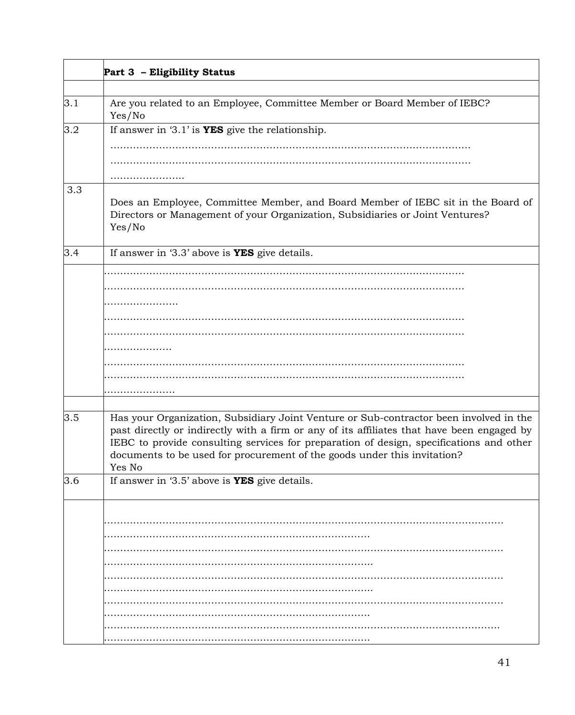|     | Part 3 - Eligibility Status                                                                                                                                         |
|-----|---------------------------------------------------------------------------------------------------------------------------------------------------------------------|
|     |                                                                                                                                                                     |
| 3.1 | Are you related to an Employee, Committee Member or Board Member of IEBC?<br>Yes/No                                                                                 |
| 3.2 | If answer in '3.1' is <b>YES</b> give the relationship.                                                                                                             |
|     |                                                                                                                                                                     |
|     |                                                                                                                                                                     |
|     | .                                                                                                                                                                   |
| 3.3 |                                                                                                                                                                     |
|     | Does an Employee, Committee Member, and Board Member of IEBC sit in the Board of                                                                                    |
|     | Directors or Management of your Organization, Subsidiaries or Joint Ventures?                                                                                       |
|     | Yes/No                                                                                                                                                              |
| 3.4 | If answer in '3.3' above is <b>YES</b> give details.                                                                                                                |
|     |                                                                                                                                                                     |
|     |                                                                                                                                                                     |
|     |                                                                                                                                                                     |
|     | .                                                                                                                                                                   |
|     |                                                                                                                                                                     |
|     |                                                                                                                                                                     |
|     |                                                                                                                                                                     |
|     |                                                                                                                                                                     |
|     |                                                                                                                                                                     |
|     |                                                                                                                                                                     |
|     |                                                                                                                                                                     |
| 3.5 | Has your Organization, Subsidiary Joint Venture or Sub-contractor been involved in the                                                                              |
|     | past directly or indirectly with a firm or any of its affiliates that have been engaged by                                                                          |
|     | IEBC to provide consulting services for preparation of design, specifications and other<br>documents to be used for procurement of the goods under this invitation? |
|     | Yes No                                                                                                                                                              |
| 3.6 | If answer in '3.5' above is <b>YES</b> give details.                                                                                                                |
|     |                                                                                                                                                                     |
|     |                                                                                                                                                                     |
|     |                                                                                                                                                                     |
|     |                                                                                                                                                                     |
|     |                                                                                                                                                                     |
|     |                                                                                                                                                                     |
|     |                                                                                                                                                                     |
|     |                                                                                                                                                                     |
|     |                                                                                                                                                                     |
|     |                                                                                                                                                                     |
|     |                                                                                                                                                                     |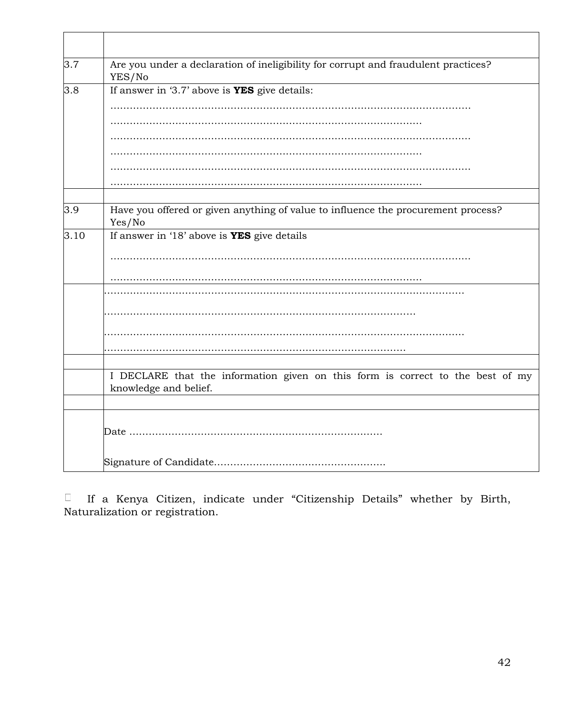| 3.7  | Are you under a declaration of ineligibility for corrupt and fraudulent practices?<br>YES/No            |  |  |  |
|------|---------------------------------------------------------------------------------------------------------|--|--|--|
| 3.8  | If answer in '3.7' above is <b>YES</b> give details:                                                    |  |  |  |
|      |                                                                                                         |  |  |  |
|      |                                                                                                         |  |  |  |
|      |                                                                                                         |  |  |  |
|      |                                                                                                         |  |  |  |
|      |                                                                                                         |  |  |  |
|      |                                                                                                         |  |  |  |
| 3.9  |                                                                                                         |  |  |  |
|      | Have you offered or given anything of value to influence the procurement process?<br>Yes/No             |  |  |  |
| 3.10 | If answer in '18' above is YES give details                                                             |  |  |  |
|      |                                                                                                         |  |  |  |
|      |                                                                                                         |  |  |  |
|      |                                                                                                         |  |  |  |
|      |                                                                                                         |  |  |  |
|      |                                                                                                         |  |  |  |
|      |                                                                                                         |  |  |  |
|      | I DECLARE that the information given on this form is correct to the best of my<br>knowledge and belief. |  |  |  |
|      |                                                                                                         |  |  |  |
|      |                                                                                                         |  |  |  |
|      |                                                                                                         |  |  |  |

 If a Kenya Citizen, indicate under "Citizenship Details" whether by Birth, Naturalization or registration.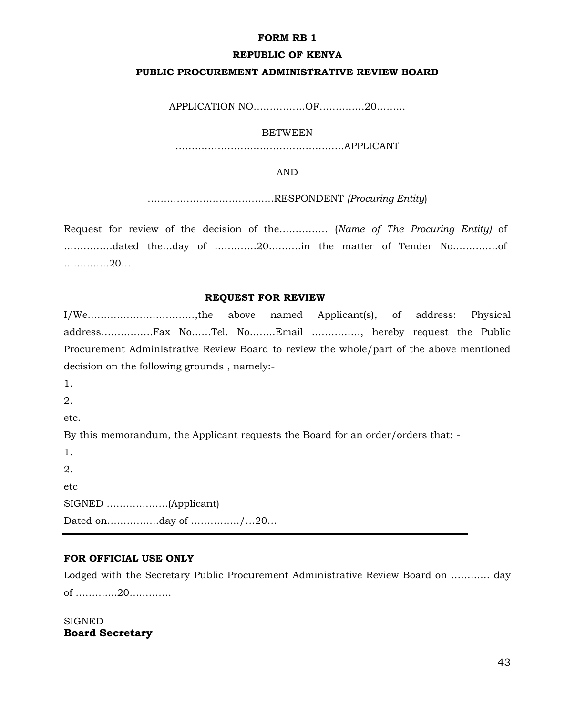#### **FORM RB 1**

#### **REPUBLIC OF KENYA**

#### **PUBLIC PROCUREMENT ADMINISTRATIVE REVIEW BOARD**

APPLICATION NO…………….OF……….….20……...

#### BETWEEN

…………………………………………….APPLICANT

AND

…………………………………RESPONDENT *(Procuring Entity*)

Request for review of the decision of the…………… (*Name of The Procuring Entity)* of ……………dated the…day of ………….20……….in the matter of Tender No………..…of …………..20…

#### **REQUEST FOR REVIEW**

I/We……………………………,the above named Applicant(s), of address: Physical address…………….Fax No……Tel. No……..Email ……………, hereby request the Public Procurement Administrative Review Board to review the whole/part of the above mentioned decision on the following grounds , namely:-

1.

2.

etc.

By this memorandum, the Applicant requests the Board for an order/orders that: -

1. 2. etc SIGNED ……………….(Applicant) Dated on…………….day of ……………/…20…

#### **FOR OFFICIAL USE ONLY**

Lodged with the Secretary Public Procurement Administrative Review Board on ………… day of ………....20….………

**SIGNED Board Secretary**